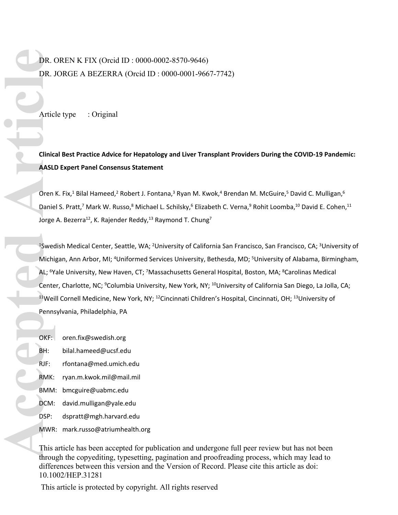# DR. OREN K FIX (Orcid ID : 0000-0002-8570-9646) DR. JORGE A BEZERRA (Orcid ID : 0000-0001-9667-7742)

Article type : Original

**Clinical Best Practice Advice for Hepatology and Liver Transplant Providers During the COVID-19 Pandemic: AASLD Expert Panel Consensus Statement**

Oren K. Fix,<sup>1</sup> Bilal Hameed,<sup>2</sup> Robert J. Fontana,<sup>3</sup> Ryan M. Kwok,<sup>4</sup> Brendan M. McGuire,<sup>5</sup> David C. Mulligan,<sup>6</sup> Daniel S. Pratt,<sup>7</sup> Mark W. Russo,<sup>8</sup> Michael L. Schilsky,<sup>6</sup> Elizabeth C. Verna,<sup>9</sup> Rohit Loomba,<sup>10</sup> David E. Cohen,<sup>11</sup> Jorge A. Bezerra<sup>12</sup>, K. Rajender Reddy,<sup>13</sup> Raymond T. Chung<sup>7</sup>

<sup>1</sup>Swedish Medical Center, Seattle, WA; <sup>2</sup>University of California San Francisco, San Francisco, CA; <sup>3</sup>University of Michigan, Ann Arbor, MI; <sup>4</sup>Uniformed Services University, Bethesda, MD; <sup>5</sup>University of Alabama, Birmingham, AL; <sup>6</sup>Yale University, New Haven, CT; <sup>7</sup>Massachusetts General Hospital, Boston, MA; <sup>8</sup>Carolinas Medical Center, Charlotte, NC; <sup>9</sup>Columbia University, New York, NY; <sup>10</sup>University of California San Diego, La Jolla, CA; <sup>11</sup>Weill Cornell Medicine, New York, NY; <sup>12</sup>Cincinnati Children's Hospital, Cincinnati, OH; <sup>13</sup>University of Pennsylvania, Philadelphia, PA

OKF: [oren.fix@swedish.org](mailto:oren.fix@swedish.org)

BH: [bilal.hameed@ucsf.edu](mailto:bilal.hameed@ucsf.edu) RJF: [rfontana@med.umich.edu](mailto:rfontana@med.umich.edu) RMK: [ryan.m.kwok.mil@mail.mil](mailto:ryan.m.kwok.mil@mail.mil) BMM: [bmcguire@uabmc.edu](mailto:bmcguire@uabmc.edu) DCM: [david.mulligan@yale.edu](mailto:david.mulligan@yale.edu) DSP: [dspratt@mgh.harvard.edu](mailto:dspratt@mgh.harvard.edu) MWR: [mark.russo@atriumhealth.org](mailto:mark.russo@atriumhealth.org) DR. J<br>DR. J<br>Artic<br>Artic<br>Clinic<br>Clinic<br>AASLI<br>Oren<br>Danie<br>Jorge<br>Michi<br>AL; <sup>6</sup>Y<br>Cente<br>Michi<br>AL; <sup>6</sup>Y<br>Cente<br>Penns<br>Danie<br>Danie<br>Danie<br>Danie<br>Danie<br>Denns<br>Danie<br>Denns<br>Denns<br>Denns<br>Denns<br>Denns<br>Denns<br>Denns<br>Denns<br>Denns<br>Denns<br>Denns<br>Denns

This article has been accepted for publication and undergone full peer review but has not been through the copyediting, typesetting, pagination and proofreading process, which may lead to differences between this version and the [Version of Record.](https://doi.org/10.1002/HEP.31281) Please cite this article as [doi:](https://doi.org/10.1002/HEP.31281)  [10.1002/HEP.31281](https://doi.org/10.1002/HEP.31281)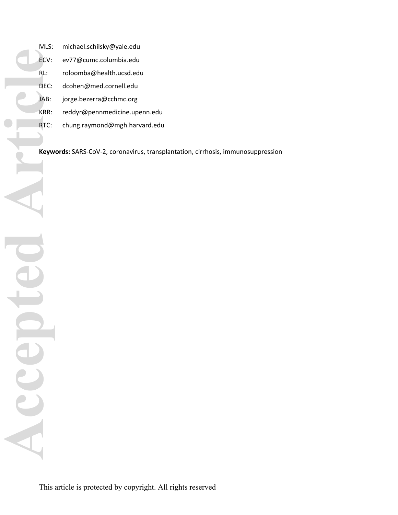**Accepted Article**EC ICCODI

MLS: [michael.schilsky@yale.edu](mailto:michael.schilsky@yale.edu) ECV: [ev77@cumc.columbia.edu](mailto:ev77@cumc.columbia.edu) RL: [roloomba@health.ucsd.edu](mailto:roloomba@health.ucsd.edu) DEC: [dcohen@med.cornell.edu](mailto:dcohen@med.cornell.edu) JAB: [jorge.bezerra@cchmc.org](mailto:jorge.bezerra@cchmc.org) KRR: [reddyr@pennmedicine.upenn.edu](mailto:reddyr@pennmedicine.upenn.edu) RTC: [chung.raymond@mgh.harvard.edu](mailto:chung.raymond@mgh.harvard.edu)

**Keywords:** SARS-CoV-2, coronavirus, transplantation, cirrhosis, immunosuppression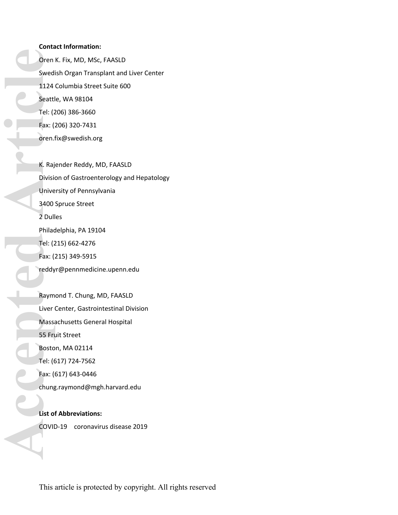### **Contact Information:**

Oren K. Fix, MD, MSc, FAASLD Swedish Organ Transplant and Liver Center 1124 Columbia Street Suite 600 Seattle, WA 98104 Tel: (206) 386-3660 Fax: (206) 320-7431 [oren.fix@swedish.org](mailto:oren.fix@swedish.org)

K. Rajender Reddy, MD, FAASLD Division of Gastroenterology and Hepatology University of Pennsylvania 3400 Spruce Street 2 Dulles Philadelphia, PA 19104 Tel: (215) 662-4276 Fax: (215) 349-5915 [reddyr@pennmedicine.upenn.edu](mailto:reddyr@pennmedicine.upenn.edu) Raymond T. Chung, MD, FAASLD Liver Center, Gastrointestinal Division **Corend Sweding Sweding Corend Sweding Corend 1124**<br> **Accept Tel:** (2<br> **Accept Fax:** (2<br> **Accept Fax:** (2<br> **Accept Fax:** (2<br> **Accept Fax:** (2<br> **Accept Fax:** (2<br> **Accept Fax:** (2<br> **Accept Fax:** (2<br> **Accept Fax:** (2<br> **Accept** 

Massachusetts General Hospital

55 Fruit Street

Boston, MA 02114

Tel: (617) 724-7562

Fax: (617) 643-0446

[chung.raymond@mgh.harvard.edu](mailto:chung.raymond@mgh.harvard.edu)

**List of Abbreviations:**

COVID-19 coronavirus disease 2019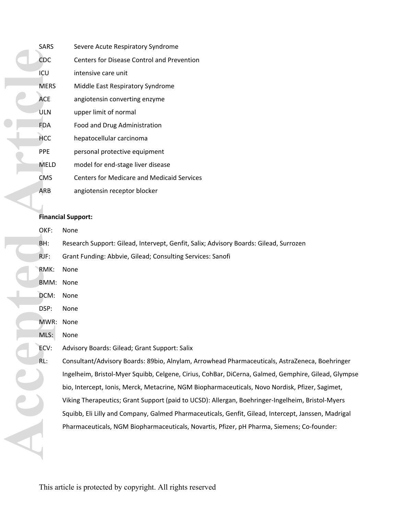|     |  | <b>SARS</b> | Severe Acute Respiratory Syndrome                 |  |  |  |
|-----|--|-------------|---------------------------------------------------|--|--|--|
|     |  | CDC         | <b>Centers for Disease Control and Prevention</b> |  |  |  |
|     |  | ICU         | intensive care unit                               |  |  |  |
|     |  | <b>MERS</b> | Middle East Respiratory Syndrome                  |  |  |  |
|     |  | <b>ACE</b>  | angiotensin converting enzyme                     |  |  |  |
|     |  | <b>ULN</b>  | upper limit of normal                             |  |  |  |
|     |  | <b>FDA</b>  | Food and Drug Administration                      |  |  |  |
|     |  | <b>HCC</b>  | hepatocellular carcinoma                          |  |  |  |
|     |  | <b>PPE</b>  | personal protective equipment                     |  |  |  |
|     |  | <b>MELD</b> | model for end-stage liver disease                 |  |  |  |
|     |  | <b>CMS</b>  | <b>Centers for Medicare and Medicaid Services</b> |  |  |  |
|     |  | ARB         | angiotensin receptor blocker                      |  |  |  |
|     |  |             |                                                   |  |  |  |
|     |  |             | <b>Financial Support:</b>                         |  |  |  |
|     |  | OKF:        | None                                              |  |  |  |
| BH: |  |             | Research Support: Gilead, Intervept, Genfit, Sali |  |  |  |
|     |  | RJF:        | Grant Funding: Abbvie, Gilead; Consulting Servic  |  |  |  |
|     |  | RMK:        | None                                              |  |  |  |
|     |  | BMM:        | None                                              |  |  |  |
|     |  | DCM:        | None                                              |  |  |  |
|     |  | DSP:        | None                                              |  |  |  |
|     |  | MWR:        | None                                              |  |  |  |
|     |  | MLS:        | None                                              |  |  |  |
|     |  | ECV:        | Advisory Boards: Gilead; Grant Support: Salix     |  |  |  |
|     |  | RL:         | Consultant/Advisory Boards: 89bio, Alnylam, Arr   |  |  |  |
|     |  |             | Ingelheim, Bristol-Myer Squibb, Celgene, Cirius,  |  |  |  |
|     |  |             | bio, Intercept, Ionis, Merck, Metacrine, NGM Bic  |  |  |  |
|     |  |             | Viking Therapeutics; Grant Support (paid to UCS   |  |  |  |
|     |  |             | Squibb, Eli Lilly and Company, Galmed Pharmace    |  |  |  |
|     |  |             | Pharmaceuticals, NGM Biopharmaceuticals, Nov      |  |  |  |
|     |  |             |                                                   |  |  |  |
|     |  |             |                                                   |  |  |  |

# **Financial Support:**

|  | OKF:      | None                                                                                                |
|--|-----------|-----------------------------------------------------------------------------------------------------|
|  | BH:       | Research Support: Gilead, Intervept, Genfit, Salix; Advisory Boards: Gilead, Surrozen               |
|  | $RJF$ :   | Grant Funding: Abbvie, Gilead; Consulting Services: Sanofi                                          |
|  | RMK:      | None                                                                                                |
|  | BMM: None |                                                                                                     |
|  | DCM:      | None                                                                                                |
|  | DSP:      | None                                                                                                |
|  | MWR:      | None                                                                                                |
|  | MLS:      | None                                                                                                |
|  | ECV:      | Advisory Boards: Gilead; Grant Support: Salix                                                       |
|  | RL:       | Consultant/Advisory Boards: 89bio, Alnylam, Arrowhead Pharmaceuticals, AstraZeneca, Boehringer      |
|  |           | Ingelheim, Bristol-Myer Squibb, Celgene, Cirius, CohBar, DiCerna, Galmed, Gemphire, Gilead, Glympse |
|  |           | bio, Intercept, Ionis, Merck, Metacrine, NGM Biopharmaceuticals, Novo Nordisk, Pfizer, Sagimet,     |
|  |           | Viking Therapeutics; Grant Support (paid to UCSD): Allergan, Boehringer-Ingelheim, Bristol-Myers    |
|  |           | Squibb, Eli Lilly and Company, Galmed Pharmaceuticals, Genfit, Gilead, Intercept, Janssen, Madrigal |
|  |           | Pharmaceuticals, NGM Biopharmaceuticals, Novartis, Pfizer, pH Pharma, Siemens; Co-founder:          |
|  |           |                                                                                                     |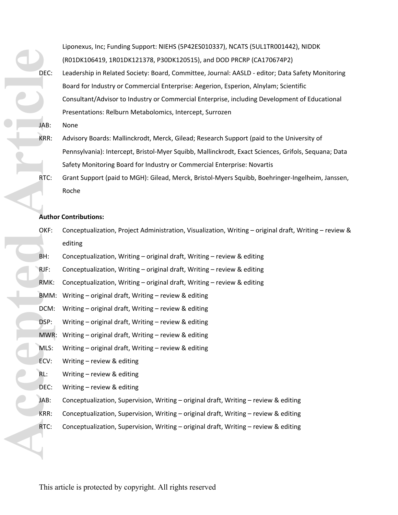Liponexus, Inc; Funding Support: NIEHS (5P42ES010337), NCATS (5UL1TR001442), NIDDK (R01DK106419, 1R01DK121378, P30DK120515), and DOD PRCRP (CA170674P2) DEC: Leadership in Related Society: Board, Committee, Journal: AASLD - editor; Data Safety Monitoring Board for Industry or Commercial Enterprise: Aegerion, Esperion, Alnylam; Scientific Consultant/Advisor to Industry or Commercial Enterprise, including Development of Educational Presentations: Relburn Metabolomics, Intercept, Surrozen

- JAB: None
- KRR: Advisory Boards: Mallinckrodt, Merck, Gilead; Research Support (paid to the University of Pennsylvania): Intercept, Bristol-Myer Squibb, Mallinckrodt, Exact Sciences, Grifols, Sequana; Data Safety Monitoring Board for Industry or Commercial Enterprise: Novartis
- RTC: Grant Support (paid to MGH): Gilead, Merck, Bristol-Myers Squibb, Boehringer-Ingelheim, Janssen, Roche

### **Author Contributions:**

- OKF: Conceptualization, Project Administration, Visualization, Writing original draft, Writing review & editing **Accepted Article**
	- BH: Conceptualization, Writing original draft, Writing review & editing
	- RJF: Conceptualization, Writing original draft, Writing review & editing
	- RMK: Conceptualization, Writing original draft, Writing review & editing
	- BMM: Writing original draft, Writing review & editing
		- DCM: Writing original draft, Writing review & editing
		- DSP: Writing original draft, Writing review & editing
		- MWR: Writing original draft, Writing review & editing
		- MLS: Writing original draft, Writing review & editing
	- ECV: Writing review & editing
	- RL: Writing review & editing
	- DEC: Writing review & editing
	- JAB: Conceptualization, Supervision, Writing original draft, Writing review & editing
	- KRR: Conceptualization, Supervision, Writing original draft, Writing review & editing
	- RTC: Conceptualization, Supervision, Writing original draft, Writing review & editing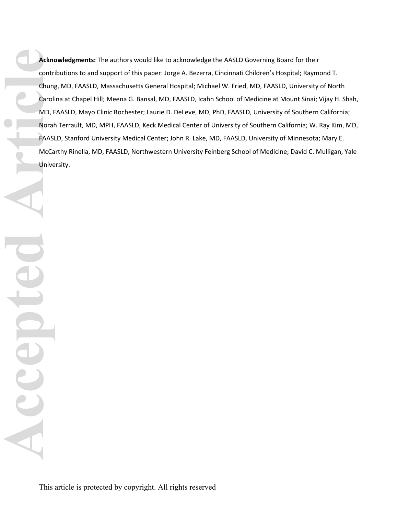**Acknowledgments:** The authors would like to acknowledge the AASLD Governing Board for their contributions to and support of this paper: Jorge A. Bezerra, Cincinnati Children's Hospital; Raymond T. Chung, MD, FAASLD, Massachusetts General Hospital; Michael W. Fried, MD, FAASLD, University of North Carolina at Chapel Hill; Meena G. Bansal, MD, FAASLD, Icahn School of Medicine at Mount Sinai; Vijay H. Shah, MD, FAASLD, Mayo Clinic Rochester; Laurie D. DeLeve, MD, PhD, FAASLD, University of Southern California; Norah Terrault, MD, MPH, FAASLD, Keck Medical Center of University of Southern California; W. Ray Kim, MD, FAASLD, Stanford University Medical Center; John R. Lake, MD, FAASLD, University of Minnesota; Mary E. McCarthy Rinella, MD, FAASLD, Northwestern University Feinberg School of Medicine; David C. Mulligan, Yale University. **Acking**<br>Chung<br>Chung<br>Mo, F<br>Moral<br>FAASI<br>Divide MacCa<br>Unive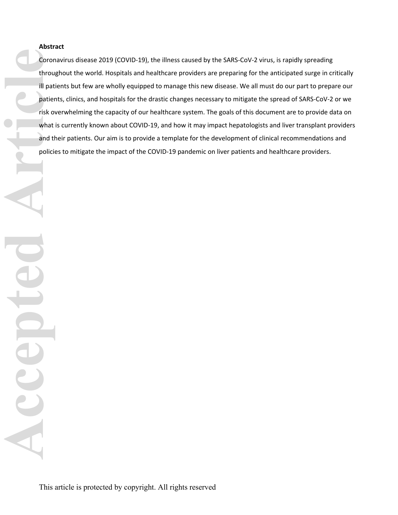# **Abstract**

Coronavirus disease 2019 (COVID-19), the illness caused by the SARS-CoV-2 virus, is rapidly spreading throughout the world. Hospitals and healthcare providers are preparing for the anticipated surge in critically ill patients but few are wholly equipped to manage this new disease. We all must do our part to prepare our patients, clinics, and hospitals for the drastic changes necessary to mitigate the spread of SARS-CoV-2 or we risk overwhelming the capacity of our healthcare system. The goals of this document are to provide data on what is currently known about COVID-19, and how it may impact hepatologists and liver transplant providers and their patients. Our aim is to provide a template for the development of clinical recommendations and policies to mitigate the impact of the COVID-19 pandemic on liver patients and healthcare providers.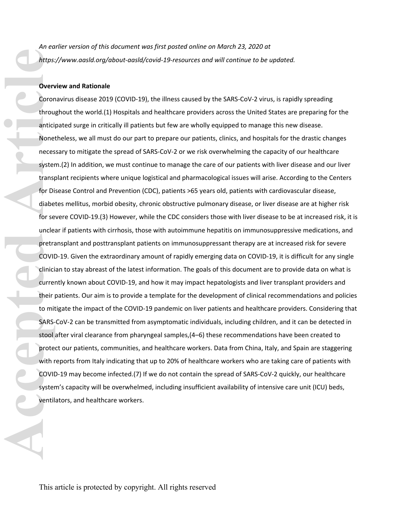*An earlier version of this document was first posted online on March 23, 2020 at <https://www.aasld.org/about-aasld/covid-19-resources> and will continue to be updated.*

### **Overview and Rationale**

Coronavirus disease 2019 (COVID-19), the illness caused by the SARS-CoV-2 virus, is rapidly spreading throughout the world.(1) Hospitals and healthcare providers across the United States are preparing for the anticipated surge in critically ill patients but few are wholly equipped to manage this new disease. Nonetheless, we all must do our part to prepare our patients, clinics, and hospitals for the drastic changes necessary to mitigate the spread of SARS-CoV-2 or we risk overwhelming the capacity of our healthcare system.(2) In addition, we must continue to manage the care of our patients with liver disease and our liver transplant recipients where unique logistical and pharmacological issues will arise. According to the Centers for Disease Control and Prevention (CDC), patients >65 years old, patients with cardiovascular disease, diabetes mellitus, morbid obesity, chronic obstructive pulmonary disease, or liver disease are at higher risk for severe COVID-19.(3) However, while the CDC considers those with liver disease to be at increased risk, it is unclear if patients with cirrhosis, those with autoimmune hepatitis on immunosuppressive medications, and pretransplant and posttransplant patients on immunosuppressant therapy are at increased risk for severe COVID-19. Given the extraordinary amount of rapidly emerging data on COVID-19, it is difficult for any single clinician to stay abreast of the latest information. The goals of this document are to provide data on what is currently known about COVID-19, and how it may impact hepatologists and liver transplant providers and their patients. Our aim is to provide a template for the development of clinical recommendations and policies to mitigate the impact of the COVID-19 pandemic on liver patients and healthcare providers. Considering that SARS-CoV-2 can be transmitted from asymptomatic individuals, including children, and it can be detected in stool after viral clearance from pharyngeal samples,(4–6) these recommendations have been created to protect our patients, communities, and healthcare workers. Data from China, Italy, and Spain are staggering with reports from Italy indicating that up to 20% of healthcare workers who are taking care of patients with COVID-19 may become infected.(7) If we do not contain the spread of SARS-CoV-2 quickly, our healthcare system's capacity will be overwhelmed, including insufficient availability of intensive care unit (ICU) beds, ventilators, and healthcare workers. Artps:<br> **Accept Scrib Contribution**<br> **Accept Contribution**<br> **Accept Article**<br> **Accept Article**<br> **ARS-Stool**<br> **ARS-Stool**<br> **PONIC CONIC CONIC CONIC CONIC CONIC SARS-<br>
<b>ARS-Stool**<br>
Prote With COVIC System<br>
ventil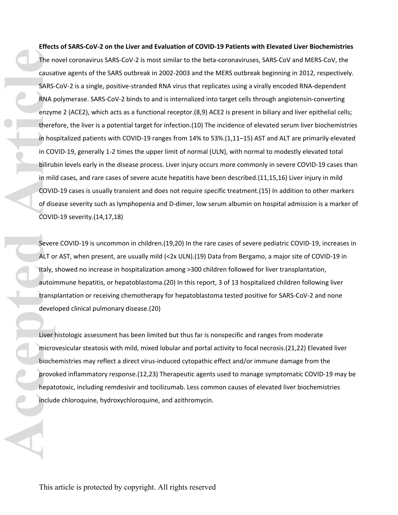**Effects of SARS-CoV-2 on the Liver and Evaluation of COVID-19 Patients with Elevated Liver Biochemistries** The novel coronavirus SARS-CoV-2 is most similar to the beta-coronaviruses, SARS-CoV and MERS-CoV, the causative agents of the SARS outbreak in 2002-2003 and the MERS outbreak beginning in 2012, respectively. SARS-CoV-2 is a single, positive-stranded RNA virus that replicates using a virally encoded RNA-dependent RNA polymerase. SARS-CoV-2 binds to and is internalized into target cells through angiotensin-converting enzyme 2 (ACE2), which acts as a functional receptor.(8,9) ACE2 is present in biliary and liver epithelial cells; therefore, the liver is a potential target for infection.(10) The incidence of elevated serum liver biochemistries in hospitalized patients with COVID-19 ranges from 14% to 53%.(1,11–15) AST and ALT are primarily elevated in COVID-19, generally 1-2 times the upper limit of normal (ULN), with normal to modestly elevated total bilirubin levels early in the disease process. Liver injury occurs more commonly in severe COVID-19 cases than in mild cases, and rare cases of severe acute hepatitis have been described.(11,15,16) Liver injury in mild COVID-19 cases is usually transient and does not require specific treatment.(15) In addition to other markers of disease severity such as lymphopenia and D-dimer, low serum albumin on hospital admission is a marker of COVID-19 severity.(14,17,18) The n<br>
causa<br>
SARS-<br>
RNA f<br>
enzyn<br>
there<br>
in hos<br>
in CO<br>
bilirut<br>
in mil<br>
COVII<br>
of dis<br>
COVII<br>
of dis<br>
COVII<br>
of dis<br>
COVII<br>
sever<br>
ALT o<br>
Italy,<br>
autoir<br>
transp<br>
devel·<br>
Liver<br>
liver<br>
in mis<br>
devel·<br>
Liver<br>
liver<br>
devel·

Severe COVID-19 is uncommon in children.(19,20) In the rare cases of severe pediatric COVID-19, increases in ALT or AST, when present, are usually mild (<2x ULN).(19) Data from Bergamo, a major site of COVID-19 in Italy, showed no increase in hospitalization among >300 children followed for liver transplantation, autoimmune hepatitis, or hepatoblastoma.(20) In this report, 3 of 13 hospitalized children following liver transplantation or receiving chemotherapy for hepatoblastoma tested positive for SARS-CoV-2 and none developed clinical pulmonary disease.(20)

Liver histologic assessment has been limited but thus far is nonspecific and ranges from moderate microvesicular steatosis with mild, mixed lobular and portal activity to focal necrosis.(21,22) Elevated liver biochemistries may reflect a direct virus-induced cytopathic effect and/or immune damage from the provoked inflammatory response.(12,23) Therapeutic agents used to manage symptomatic COVID-19 may be hepatotoxic, including remdesivir and tocilizumab. Less common causes of elevated liver biochemistries include chloroquine, hydroxychloroquine, and azithromycin.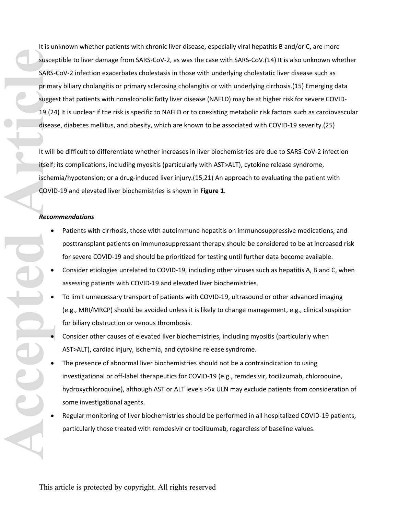It is unknown whether patients with chronic liver disease, especially viral hepatitis B and/or C, are more susceptible to liver damage from SARS-CoV-2, as was the case with SARS-CoV.(14) It is also unknown whether SARS-CoV-2 infection exacerbates cholestasis in those with underlying cholestatic liver disease such as primary biliary cholangitis or primary sclerosing cholangitis or with underlying cirrhosis.(15) Emerging data suggest that patients with nonalcoholic fatty liver disease (NAFLD) may be at higher risk for severe COVID-19.(24) It is unclear if the risk is specific to NAFLD or to coexisting metabolic risk factors such as cardiovascular disease, diabetes mellitus, and obesity, which are known to be associated with COVID-19 severity.(25) SARS-<br>
Prima<br>
BLACK Prima<br>
BLACK Prima<br>
BLACK Prima<br>
BLACK Prima<br>
BLACK Prima<br>
BLACK Prima<br>
BLACK Prima<br>
BLACK PLACK<br>
COVID<br>
Recor<br>
COVID<br>
BLACK PCOVID<br>
BLACK<br>
DRACK PCOVID<br>
BLACK<br>
DRACK PCOVID<br>
BLACK<br>
DRACK<br>
DRACK<br>
DRACK<br>

It will be difficult to differentiate whether increases in liver biochemistries are due to SARS-CoV-2 infection itself; its complications, including myositis (particularly with AST>ALT), cytokine release syndrome, ischemia/hypotension; or a drug-induced liver injury.(15,21) An approach to evaluating the patient with COVID-19 and elevated liver biochemistries is shown in **Figure 1**.

### *Recommendations*

- Patients with cirrhosis, those with autoimmune hepatitis on immunosuppressive medications, and posttransplant patients on immunosuppressant therapy should be considered to be at increased risk for severe COVID-19 and should be prioritized for testing until further data become available.
- Consider etiologies unrelated to COVID-19, including other viruses such as hepatitis A, B and C, when assessing patients with COVID-19 and elevated liver biochemistries.
- To limit unnecessary transport of patients with COVID-19, ultrasound or other advanced imaging (e.g., MRI/MRCP) should be avoided unless it is likely to change management, e.g., clinical suspicion for biliary obstruction or venous thrombosis.
- Consider other causes of elevated liver biochemistries, including myositis (particularly when AST>ALT), cardiac injury, ischemia, and cytokine release syndrome.
- The presence of abnormal liver biochemistries should not be a contraindication to using investigational or off-label therapeutics for COVID-19 (e.g., remdesivir, tocilizumab, chloroquine, hydroxychloroquine), although AST or ALT levels >5x ULN may exclude patients from consideration of some investigational agents.
- Regular monitoring of liver biochemistries should be performed in all hospitalized COVID-19 patients, particularly those treated with remdesivir or tocilizumab, regardless of baseline values.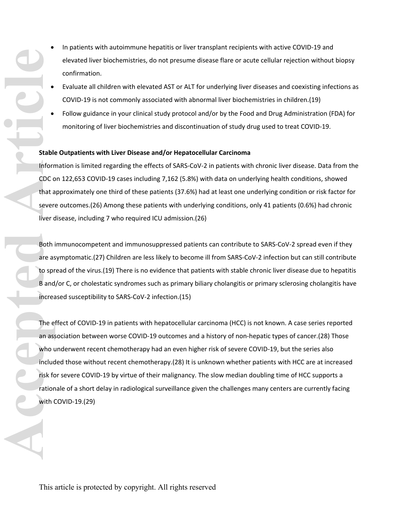- In patients with autoimmune hepatitis or liver transplant recipients with active COVID-19 and elevated liver biochemistries, do not presume disease flare or acute cellular rejection without biopsy confirmation.
	- Evaluate all children with elevated AST or ALT for underlying liver diseases and coexisting infections as COVID-19 is not commonly associated with abnormal liver biochemistries in children.(19)
- Follow guidance in your clinical study protocol and/or by the Food and Drug Administration ([FDA\)](https://www.fda.gov/media/116737/download) for monitoring of liver biochemistries and discontinuation of study drug used to treat COVID-19.

### **Stable Outpatients with Liver Disease and/or Hepatocellular Carcinoma**

Information is limited regarding the effects of SARS-CoV-2 in patients with chronic liver disease. Data from the CDC on 122,653 COVID-19 cases including 7,162 (5.8%) with data on underlying health conditions, showed that approximately one third of these patients (37.6%) had at least one underlying condition or risk factor for severe outcomes.(26) Among these patients with underlying conditions, only 41 patients (0.6%) had chronic liver disease, including 7 who required ICU admission.(26)

Both immunocompetent and immunosuppressed patients can contribute to SARS-CoV-2 spread even if they are asymptomatic.(27) Children are less likely to become ill from SARS-CoV-2 infection but can still contribute to spread of the virus.(19) There is no evidence that patients with stable chronic liver disease due to hepatitis B and/or C, or cholestatic syndromes such as primary biliary cholangitis or primary sclerosing cholangitis have increased susceptibility to SARS-CoV-2 infection.(15)

The effect of COVID-19 in patients with hepatocellular carcinoma (HCC) is not known. A case series reported an association between worse COVID-19 outcomes and a history of non-hepatic types of cancer.(28) Those who underwent recent chemotherapy had an even higher risk of severe COVID-19, but the series also included those without recent chemotherapy.(28) It is unknown whether patients with HCC are at increased risk for severe COVID-19 by virtue of their malignancy. The slow median doubling time of HCC supports a rationale of a short delay in radiological surveillance given the challenges many centers are currently facing with COVID-19.(29) **Exable Stable Inform**<br> **Accepted Article**<br> **Accepted Article**<br> **Accepted Article**<br> **Accepted Article**<br> **Accepted Article**<br> **Accepted Article**<br> **Accepted Article**<br> **Accepted Article**<br> **Accepted Article**<br> **Accepted Article**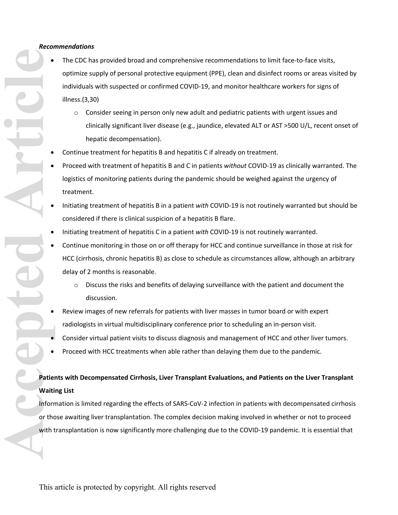### *Recommendations*

- The CDC has provided broad and comprehensive recommendations to limit face-to-face visits, optimize supply of personal protective equipment (PPE), clean and disinfect rooms or areas visited by individuals with suspected or confirmed COVID-19, and monitor healthcare workers for signs of illness.(3,30)
	- $\circ$  Consider seeing in person only new adult and pediatric patients with urgent issues and clinically significant liver disease (e.g., jaundice, elevated ALT or AST >500 U/L, recent onset of hepatic decompensation).
- Continue treatment for hepatitis B and hepatitis C if already on treatment.
- Proceed with treatment of hepatitis B and C in patients *without* COVID-19 as clinically warranted. The logistics of monitoring patients during the pandemic should be weighed against the urgency of treatment.
- Initiating treatment of hepatitis B in a patient *with* COVID-19 is not routinely warranted but should be considered if there is clinical suspicion of a hepatitis B flare.
- Initiating treatment of hepatitis C in a patient *with* COVID-19 is not routinely warranted.
- Continue monitoring in those on or off therapy for HCC and continue surveillance in those at risk for HCC (cirrhosis, chronic hepatitis B) as close to schedule as circumstances allow, although an arbitrary delay of 2 months is reasonable.
	- $\circ$  Discuss the risks and benefits of delaying surveillance with the patient and document the discussion.
- Review images of new referrals for patients with liver masses in tumor board or with expert radiologists in virtual multidisciplinary conference prior to scheduling an in-person visit.
- Consider virtual patient visits to discuss diagnosis and management of HCC and other liver tumors.
- Proceed with HCC treatments when able rather than delaying them due to the pandemic.

# **Patients with Decompensated Cirrhosis, Liver Transplant Evaluations, and Patients on the Liver Transplant Waiting List**

Information is limited regarding the effects of SARS-CoV-2 infection in patients with decompensated cirrhosis or those awaiting liver transplantation. The complex decision making involved in whether or not to proceed with transplantation is now significantly more challenging due to the COVID-19 pandemic. It is essential that

**Accepted Article**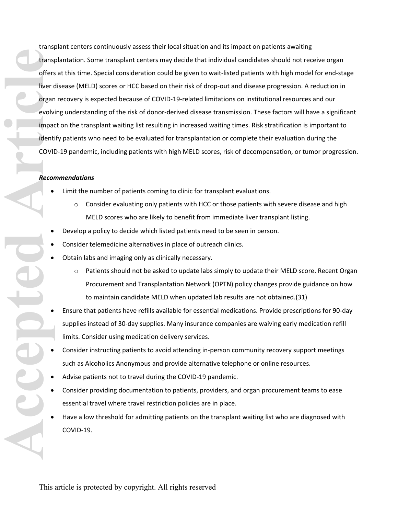transplant centers continuously assess their local situation and its impact on patients awaiting transplantation. Some transplant centers may decide that individual candidates should not receive organ offers at this time. Special consideration could be given to wait-listed patients with high model for end-stage liver disease (MELD) scores or HCC based on their risk of drop-out and disease progression. A reduction in organ recovery is expected because of COVID-19-related limitations on institutional resources and our evolving understanding of the risk of donor-derived disease transmission. These factors will have a significant impact on the transplant waiting list resulting in increased waiting times. Risk stratification is important to identify patients who need to be evaluated for transplantation or complete their evaluation during the COVID-19 pandemic, including patients with high MELD scores, risk of decompensation, or tumor progression. **Accepted Articles** Content<br>
offers<br>
offers<br>
offers<br>
offers<br>
offers<br>
offers<br>
offers<br>
offers<br>
offers<br>
offers<br>
offers<br>
offers<br>
offers<br>
offers<br>
of<br>  $\frac{1}{2}$ <br>
of<br>  $\frac{1}{2}$ <br>  $\frac{1}{2}$ <br>  $\frac{1}{2}$ <br>  $\frac{1}{2}$ <br>  $\frac{1}{2}$ <br>  $\frac{1}{2$ 

### *Recommendations*

- Limit the number of patients coming to clinic for transplant evaluations.
	- $\circ$  Consider evaluating only patients with HCC or those patients with severe disease and high MELD scores who are likely to benefit from immediate liver transplant listing.
- Develop a policy to decide which listed patients need to be seen in person.
- Consider telemedicine alternatives in place of outreach clinics.
- Obtain labs and imaging only as clinically necessary.
	- $\circ$  Patients should not be asked to update labs simply to update their MELD score. Recent Organ [Procurement and Transplantation Network \(OPTN\) policy changes](https://unos.org/news/member-information-regarding-covid-19/) provide guidance on how to maintain candidate MELD when updated lab results are not obtained.(31)
- Ensure that patients have refills available for essential medications. Provide prescriptions for 90-day supplies instead of 30-day supplies. Many insurance companies are waiving early medication refill limits. Consider using medication delivery services.
- Consider instructing patients to avoid attending in-person community recovery support meetings such as Alcoholics Anonymous and provide alternative telephone or online resources.
- Advise patients not to travel during the COVID-19 pandemic.
- Consider providing documentation to patients, providers, and organ procurement teams to ease essential travel where travel restriction policies are in place.
- Have a low threshold for admitting patients on the transplant waiting list who are diagnosed with COVID-19.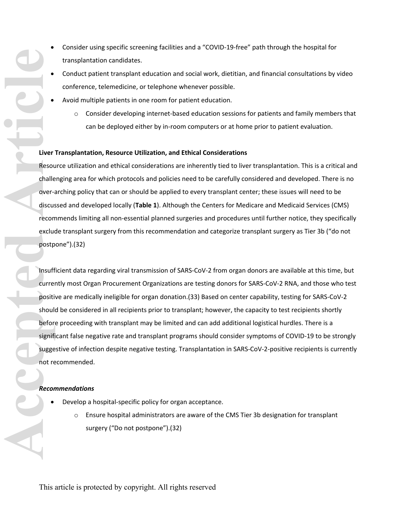- Consider using specific screening facilities and a "COVID-19-free" path through the hospital for transplantation candidates.
	- Conduct patient transplant education and social work, dietitian, and financial consultations by video conference, telemedicine, or telephone whenever possible.
	- Avoid multiple patients in one room for patient education.
		- $\circ$  Consider developing internet-based education sessions for patients and family members that can be deployed either by in-room computers or at home prior to patient evaluation.

### **Liver Transplantation, Resource Utilization, and Ethical Considerations**

Resource utilization and ethical considerations are inherently tied to liver transplantation. This is a critical and challenging area for which protocols and policies need to be carefully considered and developed. There is no over-arching policy that can or should be applied to every transplant center; these issues will need to be discussed and developed locally (**Table 1**). Although the Centers for Medicare and Medicaid Services (CMS) recommends limiting all non-essential planned surgeries and procedures until further notice, they specifically exclude transplant surgery from [this recommendation](https://www.cms.gov/files/document/31820-cms-adult-elective-surgery-and-procedures-recommendations.pdf) and categorize transplant surgery as Tier 3b ("do not postpone").(32)

Insufficient data regarding viral transmission of SARS-CoV-2 from organ donors are available at this time, but currently most Organ Procurement Organizations are testing donors for SARS-CoV-2 RNA, and those who test positive are medically ineligible for [organ donation.](https://www.aopo.org/information-about-covid-19-coronavirus-is-being-released-rapidly-we-will-post-updates-as-we-receive-them/)(33) Based on center capability, testing for SARS-CoV-2 should be considered in all recipients prior to transplant; however, the capacity to test recipients shortly before proceeding with transplant may be limited and can add additional logistical hurdles. There is a significant false negative rate and transplant programs should consider symptoms of COVID-19 to be strongly suggestive of infection despite negative testing. Transplantation in SARS-CoV-2-positive recipients is currently not recommended. **Accepted Articles Controllers**<br> **Accepted Articles Controllers**<br> **Accepted Articles Controllers**<br> **Accord Positicle**<br> **Accord Positicle**<br> **Accord Positicle**<br> **Accord Positicle**<br> **Accord Positicle**<br> **Accord Positicle**<br> **Ac** 

### *Recommendations*

- Develop a hospital-specific policy for organ acceptance.
	- o Ensure hospital administrators are aware of the [CMS Tier 3b](https://www.cms.gov/files/document/31820-cms-adult-elective-surgery-and-procedures-recommendations.pdf) designation for transplant surgery ("Do not postpone").(32)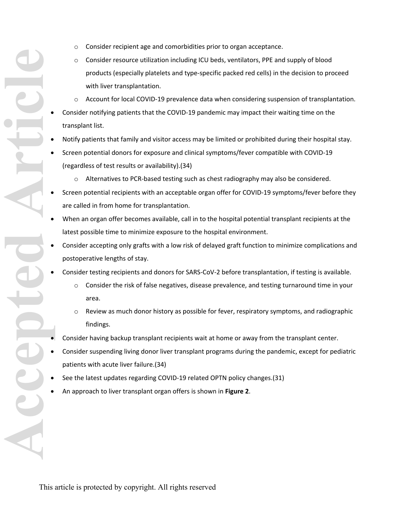- o Consider recipient age and comorbidities prior to organ acceptance.
- Consider resource utilization including ICU beds, ventilators, PPE and supply of blood products (especially platelets and type-specific packed red cells) in the decision to proceed with liver transplantation.
- o Account for local COVID-19 prevalence data when considering suspension of transplantation.
- Consider notifying patients that the COVID-19 pandemic may impact their waiting time on the transplant list.
- Notify patients that family and visitor access may be limited or prohibited during their hospital stay.
- Screen potential donors for exposure and clinical symptoms/fever compatible with COVID-19 (regardless of test results or availability).(34)
	- o Alternatives to PCR-based testing such as chest radiography may also be considered.
- Screen potential recipients with an acceptable organ offer for COVID-19 symptoms/fever before they are called in from home for transplantation.
- When an organ offer becomes available, call in to the hospital potential transplant recipients at the latest possible time to minimize exposure to the hospital environment.
- Consider accepting only grafts with a low risk of delayed graft function to minimize complications and postoperative lengths of stay.
- Consider testing recipients and donors for SARS-CoV-2 before transplantation, if testing is available.
	- o Consider the risk of false negatives, disease prevalence, and testing turnaround time in your area.
	- o Review as much donor history as possible for fever, respiratory symptoms, and radiographic findings.
- Consider having backup transplant recipients wait at home or away from the transplant center.
- Consider suspending living donor liver transplant programs during the pandemic, except for pediatric patients with acute liver failure.(34)
- See the latest updates regarding COVID-19 related [OPTN policy changes.](https://unos.org/news/member-information-regarding-covid-19/)(31)
- An approach to liver transplant organ offers is shown in **Figure 2**.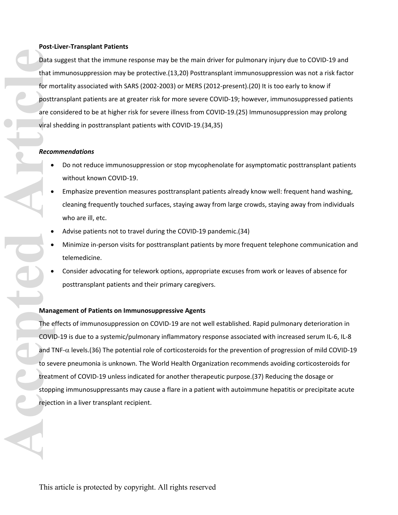### **Post-Liver-Transplant Patients**

Data suggest that the immune response may be the main driver for pulmonary injury due to COVID-19 and that immunosuppression may be protective.(13,20) Posttransplant immunosuppression was not a risk factor for mortality associated with SARS (2002-2003) or MERS (2012-present).(20) It is too early to know if posttransplant patients are at greater risk for more severe COVID-19; however, immunosuppressed patients are considered to be at higher risk for severe illness from COVID-19.(25) Immunosuppression may prolong viral shedding in posttransplant patients with COVID-19.(34,35) Data :<br>
that in<br>
for m<br>
posttu<br>
are cc<br>
viral s<br>
Recor<br> **Accepted Article**<br>
treatr<br>
to sev<br>
treatr<br>
stopp<br>
reject

### *Recommendations*

- Do not reduce immunosuppression or stop mycophenolate for asymptomatic posttransplant patients without known COVID-19.
- Emphasize prevention measures posttransplant patients already know well: frequent hand washing, cleaning frequently touched surfaces, staying away from large crowds, staying away from individuals who are ill, etc.
- Advise patients not to travel during the COVID-19 pandemic.(34)
- Minimize in-person visits for posttransplant patients by more frequent telephone communication and telemedicine.
- Consider advocating for telework options, appropriate excuses from work or leaves of absence for posttransplant patients and their primary caregivers.

### **Management of Patients on Immunosuppressive Agents**

The effects of immunosuppression on COVID-19 are not well established. Rapid pulmonary deterioration in COVID-19 is due to a systemic/pulmonary inflammatory response associated with increased serum IL-6, IL-8 and TNF- $\alpha$  levels.(36) The potential role of corticosteroids for the prevention of progression of mild COVID-19 to severe pneumonia is unknown. The World Health Organization recommends avoiding corticosteroids for treatment of COVID-19 unless indicated for another therapeutic purpose.(37) Reducing the dosage or stopping immunosuppressants may cause a flare in a patient with autoimmune hepatitis or precipitate acute rejection in a liver transplant recipient.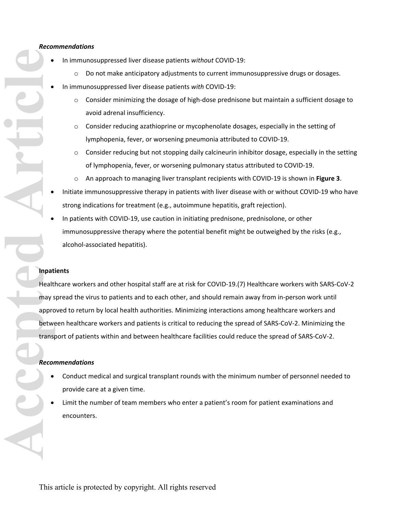### *Recommendations*

- In immunosuppressed liver disease patients *without* COVID-19:
	- $\circ$  Do not make anticipatory adjustments to current immunosuppressive drugs or dosages.
- In immunosuppressed liver disease patients *with* COVID-19:
	- o Consider minimizing the dosage of high-dose prednisone but maintain a sufficient dosage to avoid adrenal insufficiency.
	- $\circ$  Consider reducing azathioprine or mycophenolate dosages, especially in the setting of lymphopenia, fever, or worsening pneumonia attributed to COVID-19.
	- $\circ$  Consider reducing but not stopping daily calcineurin inhibitor dosage, especially in the setting of lymphopenia, fever, or worsening pulmonary status attributed to COVID-19.
	- o An approach to managing liver transplant recipients with COVID-19 is shown in **Figure 3**.
- Initiate immunosuppressive therapy in patients with liver disease with or without COVID-19 who have strong indications for treatment (e.g., autoimmune hepatitis, graft rejection).
- In patients with COVID-19, use caution in initiating prednisone, prednisolone, or other immunosuppressive therapy where the potential benefit might be outweighed by the risks (e.g., alcohol-associated hepatitis).

### **Inpatients**

Healthcare workers and other hospital staff are at risk for COVID-19.(7) Healthcare workers with SARS-CoV-2 may spread the virus to patients and to each other, and should remain away from in-person work until approved to return by local health authorities. Minimizing interactions among healthcare workers and between healthcare workers and patients is critical to reducing the spread of SARS-CoV-2. Minimizing the transport of patients within and between healthcare facilities could reduce the spread of SARS-CoV-2.

# *Recommendations*

- Conduct medical and surgical transplant rounds with the minimum number of personnel needed to provide care at a given time.
- Limit the number of team members who enter a patient's room for patient examinations and encounters.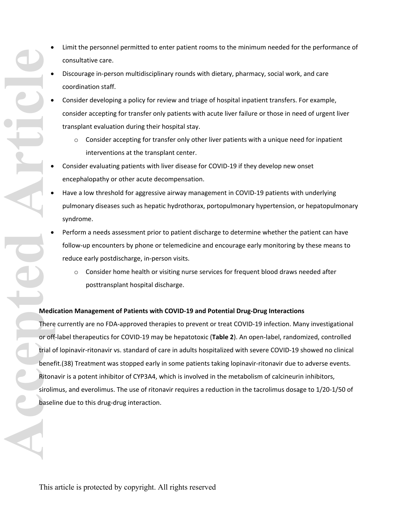- Limit the personnel permitted to enter patient rooms to the minimum needed for the performance of consultative care.
	- Discourage in-person multidisciplinary rounds with dietary, pharmacy, social work, and care coordination staff.
	- Consider developing a policy for review and triage of hospital inpatient transfers. For example, consider accepting for transfer only patients with acute liver failure or those in need of urgent liver transplant evaluation during their hospital stay.
		- $\circ$  Consider accepting for transfer only other liver patients with a unique need for inpatient interventions at the transplant center.
	- Consider evaluating patients with liver disease for COVID-19 if they develop new onset encephalopathy or other acute decompensation.
	- Have a low threshold for aggressive airway management in COVID-19 patients with underlying pulmonary diseases such as hepatic hydrothorax, portopulmonary hypertension, or hepatopulmonary syndrome.
	- Perform a needs assessment prior to patient discharge to determine whether the patient can have follow-up encounters by phone or telemedicine and encourage early monitoring by these means to reduce early postdischarge, in-person visits.
		- $\circ$  Consider home health or visiting nurse services for frequent blood draws needed after posttransplant hospital discharge.

### **Medication Management of Patients with COVID-19 and Potential Drug-Drug Interactions**

There currently are no FDA-approved therapies to prevent or treat COVID-19 infection. Many investigational or off-label therapeutics for COVID-19 may be hepatotoxic (**Table 2**). An open-label, randomized, controlled trial of lopinavir-ritonavir vs. standard of care in adults hospitalized with severe COVID-19 showed no clinical benefit.(38) Treatment was stopped early in some patients taking lopinavir-ritonavir due to adverse events. Ritonavir is a potent inhibitor of CYP3A4, which is involved in the metabolism of calcineurin inhibitors, sirolimus, and everolimus. The use of ritonavir requires a reduction in the tacrolimus dosage to 1/20-1/50 of baseline due to this drug-drug interaction.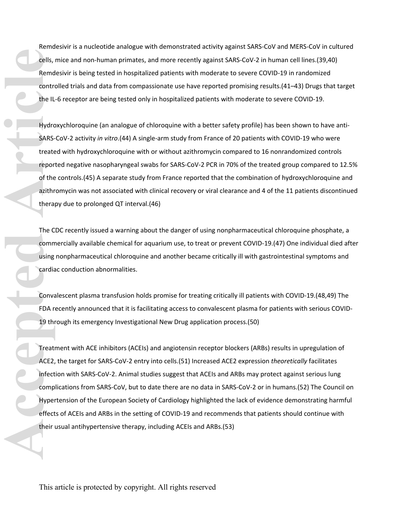Remdesivir is a nucleotide analogue with demonstrated activity against SARS-CoV and MERS-CoV in cultured cells, mice and non-human primates, and more recently against SARS-CoV-2 in human cell lines.(39,40) Remdesivir is being tested in hospitalized patients with moderate to severe COVID-19 in randomized controlled trials and data from compassionate use have reported promising results.(41–43) Drugs that target the IL-6 receptor are being tested only in hospitalized patients with moderate to severe COVID-19.

Hydroxychloroquine (an analogue of chloroquine with a better safety profile) has been shown to have anti-SARS-CoV-2 activity *in vitro*.(44) A single-arm study from France of 20 patients with COVID-19 who were treated with hydroxychloroquine with or without azithromycin compared to 16 nonrandomized controls reported negative nasopharyngeal swabs for SARS-CoV-2 PCR in 70% of the treated group compared to 12.5% of the controls.(45) A separate study from France reported that the combination of hydroxychloroquine and azithromycin was not associated with clinical recovery or viral clearance and 4 of the 11 patients discontinued therapy due to prolonged QT interval.(46)

The CDC recently issued a [warning](https://federallabs.org/news/cdc-warns-against-using-nonpharmaceutical-chloroquine-phosphate) about the danger of using nonpharmaceutical chloroquine phosphate, a commercially available chemical for aquarium use, to treat or prevent COVID-19.(47) One individual died after using nonpharmaceutical chloroquine and another became critically ill with gastrointestinal symptoms and cardiac conduction abnormalities.

Convalescent plasma transfusion holds promise for treating critically ill patients with COVID-19.(48,49) The FDA recently [announced](https://www.fda.gov/vaccines-blood-biologics/investigational-new-drug-ind-or-device-exemption-ide-process-cber/revised-information-investigational-covid-19-convalescent-plasma) that it is facilitating access to convalescent plasma for patients with serious COVID-19 through its emergency Investigational New Drug application process.(50)

Treatment with ACE inhibitors (ACEIs) and angiotensin receptor blockers (ARBs) results in upregulation of ACE2, the target for SARS-CoV-2 entry into cells.(51) Increased ACE2 expression *theoretically* facilitates infection with SARS-CoV-2. Animal studies suggest that ACEIs and ARBs may protect against serious lung complications from SARS-CoV, but to date there are no data in SARS-CoV-2 or in humans.(52) The Council on Hypertension of the [European Society of Cardiology](https://www.escardio.org/Councils/Council-on-Hypertension-(CHT)/News/position-statement-of-the-esc-council-on-hypertension-on-ace-inhibitors-and-ang) highlighted the lack of evidence demonstrating harmful effects of ACEIs and ARBs in the setting of COVID-19 and recommends that patients should continue with their usual antihypertensive therapy, including ACEIs and ARBs.(53) **Cells,**<br>
Remd<br>
contre<br>
the IL<br>
Hydrc<br>
SARS-<br>
treatter<br>
repor<br>
of the<br>
azithr<br>
thera<br>
The C<br>
comm<br>
using<br>
cardia<br>
Conva<br>
FDA r<br>
19 th<br>
Treatt<br>
ACE2,<br>
infect<br>
comp<br>
Hyper<br>
Hyper<br>
FDA r<br>
Treatt<br>
ACE2,<br>
infect<br>
comp<br>
Hyper<br>
H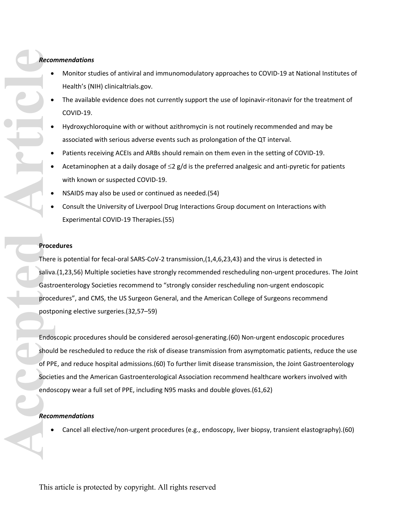# *Recommendations*

- Monitor studies of antiviral and immunomodulatory approaches to COVID-19 at National Institutes of Health's (NIH) [clinicaltrials.gov](https://clinicaltrials.gov/ct2/results?cond=COVID-19).
- The available evidence does not currently support the use of lopinavir-ritonavir for the treatment of COVID-19.
- Hydroxychloroquine with or without azithromycin is not routinely recommended and may be associated with serious adverse events such as prolongation of the QT interval.
- Patients receiving ACEIs and ARBs should remain on them even in the setting of COVID-19.
- Acetaminophen at a daily dosage of  $\leq$ 2 g/d is the preferred analgesic and anti-pyretic for patients with known or suspected COVID-19.
- NSAIDS may also be used or continued [as needed.](https://www.sciencealert.com/who-recommends-to-avoid-taking-ibuprofen-for-covid-19-symptoms/amp)(54)
- Consult the University of Liverpool Drug Interactions Group document on [Interactions with](http://www.covid19-druginteractions.org/)  [Experimental COVID-19 Therapies](http://www.covid19-druginteractions.org/).(55)

### **Procedures**

There is potential for fecal-oral SARS-CoV-2 transmission,(1,4,6,23,43) and the virus is detected in saliva.(1,23,56) Multiple societies have strongly recommended rescheduling non-urgent procedures. The Joint Gastroenterology Societies [recommend](https://www.aasld.org/about-aasld/media/joint-gi-society-message-covid-19-clinical-insights-our-community) to "strongly consider rescheduling non-urgent endoscopic procedures", and [CMS](https://www.cms.gov/files/document/31820-cms-adult-elective-surgery-and-procedures-recommendations.pdf), the [US Surgeon General](https://www.politico.com/news/2020/03/14/surgeon-general-elective-surgeries-coronavirus-129405), and the [American College of Surgeons](https://www.facs.org/about-acs/covid-19/information-for-surgeons/elective-surgery) recommend postponing elective surgeries.(32,57–59)

Endoscopic procedures should be considered aerosol-generating.(60) Non-urgent endoscopic procedures should be rescheduled to reduce the risk of disease transmission from asymptomatic patients, reduce the use of PPE, and reduce hospital admissions.(60) To further limit disease transmission, the [Joint Gastroenterology](https://www.aasld.org/sites/default/files/2020-04/JointSocietyMessage-PersonalProtectiveEquipmentInGIEndoscopy.pdf)  [Societies](https://www.aasld.org/sites/default/files/2020-04/JointSocietyMessage-PersonalProtectiveEquipmentInGIEndoscopy.pdf) and the American Gastroenterological Association recommend healthcare workers involved with endoscopy wear a full set of PPE, including N95 masks and double gloves.(61,62) **Record**<br> **Accord**<br> **Accord**<br> **Contract Proce**<br> **Contract Proce**<br> **Contract Proce**<br> **Contract Proce**<br> **Contract Proce**<br> **Contract Proce**<br> **Contract Proce**<br> **Contract Proce**<br> **Contract Proce**<br> **Contract Proce**<br> **Record** 

### *Recommendations*

Cancel all elective/non-urgent procedures (e.g., endoscopy, liver biopsy, transient elastography).(60)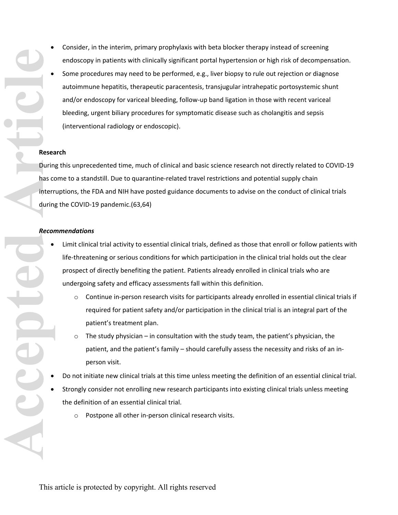- Consider, in the interim, primary prophylaxis with beta blocker therapy instead of screening endoscopy in patients with clinically significant portal hypertension or high risk of decompensation.
- Some procedures may need to be performed, e.g., liver biopsy to rule out rejection or diagnose autoimmune hepatitis, therapeutic paracentesis, transjugular intrahepatic portosystemic shunt and/or endoscopy for variceal bleeding, follow-up band ligation in those with recent variceal bleeding, urgent biliary procedures for symptomatic disease such as cholangitis and sepsis (interventional radiology or endoscopic).

### **Research**

During this unprecedented time, much of clinical and basic science research not directly related to COVID-19 has come to a standstill. Due to quarantine-related travel restrictions and potential supply chain interruptions, the [FDA](https://www.fda.gov/media/136238/download) and [NIH](https://grants.nih.gov/grants/guide/notice-files/NOT-OD-20-087.html) have posted guidance documents to advise on the conduct of clinical trials during the COVID-19 pandemic.(63,64)

### *Recommendations*

- Limit clinical trial activity to essential clinical trials, defined as those that enroll or follow patients with life-threatening or serious conditions for which participation in the clinical trial holds out the clear prospect of directly benefiting the patient. Patients already enrolled in clinical trials who are undergoing safety and efficacy assessments fall within this definition.
	- o Continue in-person research visits for participants already enrolled in essential clinical trials if required for patient safety and/or participation in the clinical trial is an integral part of the patient's treatment plan.
	- $\circ$  The study physician in consultation with the study team, the patient's physician, the patient, and the patient's family – should carefully assess the necessity and risks of an inperson visit.
- Do not initiate new clinical trials at this time unless meeting the definition of an essential clinical trial.
- Strongly consider not enrolling new research participants into existing clinical trials unless meeting the definition of an essential clinical trial.
	- o Postpone all other in-person clinical research visits.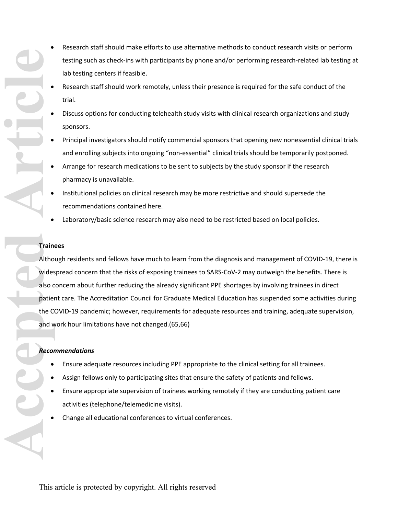- Research staff should make efforts to use alternative methods to conduct research visits or perform testing such as check-ins with participants by phone and/or performing research-related lab testing at lab testing centers if feasible.
	- Research staff should work remotely, unless their presence is required for the safe conduct of the trial.
- Discuss options for conducting telehealth study visits with clinical research organizations and study sponsors.
- Principal investigators should notify commercial sponsors that opening new nonessential clinical trials and enrolling subjects into ongoing "non-essential" clinical trials should be temporarily postponed.
- Arrange for research medications to be sent to subjects by the study sponsor if the research pharmacy is unavailable.
- Institutional policies on clinical research may be more restrictive and should supersede the recommendations contained here.
- Laboratory/basic science research may also need to be restricted based on local policies.

### **Trainees**

Although residents and fellows have much to learn from the diagnosis and management of COVID-19, there is widespread concern that the risks of exposing trainees to SARS-CoV-2 may outweigh the benefits. There is also concern about further reducing the already significant PPE shortages by involving trainees in direct patient care. The Accreditation Council for Graduate Medical Education has suspended some activities during the COVID-19 pandemic; however, requirements for adequate resources and training, adequate supervision, and work hour limitations have not changed.(65,66) **Accepted Articles**<br> **Accepted** Articles<br> **Accepted**<br> **Accord Article** Cand w<br> **Accord Cand &** 

# *Recommendations*

- Ensure adequate resources including PPE appropriate to the clinical setting for all trainees.
- Assign fellows only to participating sites that ensure the safety of patients and fellows.
- Ensure appropriate supervision of trainees working remotely if they are conducting patient care activities (telephone/telemedicine visits).
- Change all educational conferences to virtual conferences.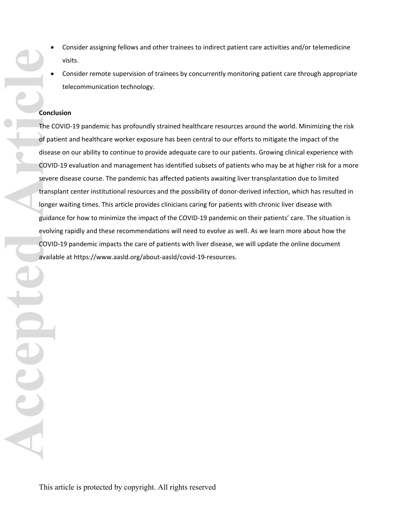- Consider assigning fellows and other trainees to indirect patient care activities and/or telemedicine visits.
- Consider remote supervision of trainees by concurrently monitoring patient care through appropriate telecommunication technology.

### **Conclusion**

The COVID-19 pandemic has profoundly strained healthcare resources around the world. Minimizing the risk of patient and healthcare worker exposure has been central to our efforts to mitigate the impact of the disease on our ability to continue to provide adequate care to our patients. Growing clinical experience with COVID-19 evaluation and management has identified subsets of patients who may be at higher risk for a more severe disease course. The pandemic has affected patients awaiting liver transplantation due to limited transplant center institutional resources and the possibility of donor-derived infection, which has resulted in longer waiting times. This article provides clinicians caring for patients with chronic liver disease with guidance for how to minimize the impact of the COVID-19 pandemic on their patients' care. The situation is evolving rapidly and these recommendations will need to evolve as well. As we learn more about how the COVID-19 pandemic impacts the care of patients with liver disease, we will update the online document available at [https://www.aasld.org/about-aasld/covid-19-resources.](https://www.aasld.org/about-aasld/covid-19-resources)

**Accepted Articles** Countries Countries Countries Countries Countries Countries Countries Countries Countries Countries Countries Countries Countries Countries Countries Countries Countries Countries Countries Countries Co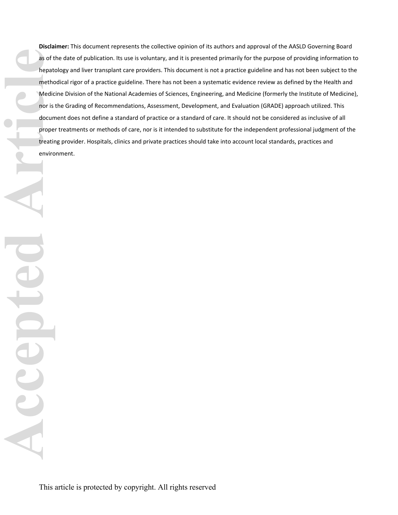**Disclaimer:** This document represents the collective opinion of its authors and approval of the AASLD Governing Board as of the date of publication. Its use is voluntary, and it is presented primarily for the purpose of providing information to hepatology and liver transplant care providers. This document is not a practice guideline and has not been subject to the methodical rigor of a practice guideline. There has not been a systematic evidence review as defined by the Health and Medicine Division of the National Academies of Sciences, Engineering, and Medicine (formerly the Institute of Medicine), nor is the Grading of Recommendations, Assessment, Development, and Evaluation (GRADE) approach utilized. This document does not define a standard of practice or a standard of care. It should not be considered as inclusive of all proper treatments or methods of care, nor is it intended to substitute for the independent professional judgment of the treating provider. Hospitals, clinics and private practices should take into account local standards, practices and environment. **Accepted Articles** Articles Countries and The Medic Medic Medic Medic Medic Countries and Medic Countries and Medic Countries and Medic Countries and Medic Countries and Medic Countries and Medic Countries and Medic Count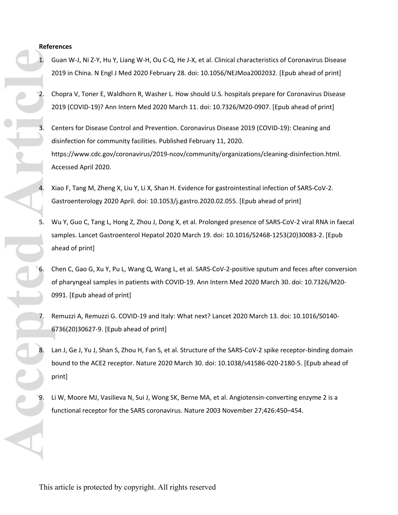### **References**

- 1. Guan W-J, Ni Z-Y, Hu Y, Liang W-H, Ou C-Q, He J-X, et al. Clinical characteristics of Coronavirus Disease 2019 in China. N Engl J Med 2020 February 28. doi: 10.1056/NEJMoa2002032. [Epub ahead of print]
- 2. Chopra V, Toner E, Waldhorn R, Washer L. How should U.S. hospitals prepare for Coronavirus Disease 2019 (COVID-19)? Ann Intern Med 2020 March 11. doi: 10.7326/M20-0907. [Epub ahead of print]
- 3. Centers for Disease Control and Prevention. Coronavirus Disease 2019 (COVID-19): Cleaning and disinfection for community facilities. Published February 11, 2020. https://www.cdc.gov/coronavirus/2019-ncov/community/organizations/cleaning-disinfection.html. Accessed April 2020.
	- 4. Xiao F, Tang M, Zheng X, Liu Y, Li X, Shan H. Evidence for gastrointestinal infection of SARS-CoV-2. Gastroenterology 2020 April. doi: 10.1053/j.gastro.2020.02.055. [Epub ahead of print]
- 5. Wu Y, Guo C, Tang L, Hong Z, Zhou J, Dong X, et al. Prolonged presence of SARS-CoV-2 viral RNA in faecal samples. Lancet Gastroenterol Hepatol 2020 March 19. doi: 10.1016/S2468-1253(20)30083-2. [Epub ahead of print]
- 6. Chen C, Gao G, Xu Y, Pu L, Wang Q, Wang L, et al. SARS-CoV-2-positive sputum and feces after conversion of pharyngeal samples in patients with COVID-19. Ann Intern Med 2020 March 30. doi: 10.7326/M20- 0991. [Epub ahead of print] **Accepted Articles** 
	- 7. Remuzzi A, Remuzzi G. COVID-19 and Italy: What next? Lancet 2020 March 13. doi: 10.1016/S0140- 6736(20)30627-9. [Epub ahead of print]
	- Lan J, Ge J, Yu J, Shan S, Zhou H, Fan S, et al. Structure of the SARS-CoV-2 spike receptor-binding domain bound to the ACE2 receptor. Nature 2020 March 30. doi: 10.1038/s41586-020-2180-5. [Epub ahead of print]
	- Li W, Moore MJ, Vasilieva N, Sui J, Wong SK, Berne MA, et al. Angiotensin-converting enzyme 2 is a functional receptor for the SARS coronavirus. Nature 2003 November 27;426:450–454.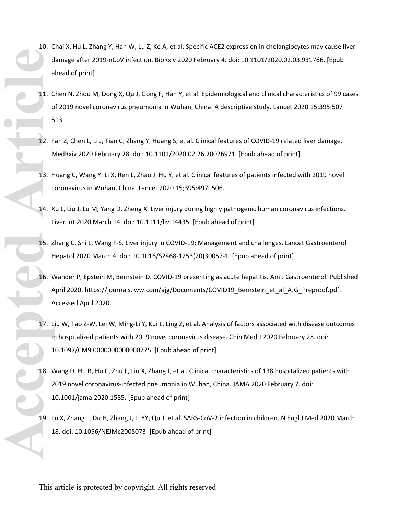- 10. Chai X, Hu L, Zhang Y, Han W, Lu Z, Ke A, et al. Specific ACE2 expression in cholangiocytes may cause liver damage after 2019-nCoV infection. BioRxiv 2020 February 4. doi: 10.1101/2020.02.03.931766. [Epub ahead of print]
- 11. Chen N, Zhou M, Dong X, Qu J, Gong F, Han Y, et al. Epidemiological and clinical characteristics of 99 cases of 2019 novel coronavirus pneumonia in Wuhan, China: A descriptive study. Lancet 2020 15;395:507– 513.
- 12. Fan Z, Chen L, Li J, Tian C, Zhang Y, Huang S, et al. Clinical features of COVID-19 related liver damage. MedRxiv 2020 February 28. doi: 10.1101/2020.02.26.20026971. [Epub ahead of print]
- 13. Huang C, Wang Y, Li X, Ren L, Zhao J, Hu Y, et al. Clinical features of patients infected with 2019 novel coronavirus in Wuhan, China. Lancet 2020 15;395:497–506.
- 14. Xu L, Liu J, Lu M, Yang D, Zheng X. Liver injury during highly pathogenic human coronavirus infections. Liver Int 2020 March 14. doi: 10.1111/liv.14435. [Epub ahead of print]
- 15. Zhang C, Shi L, Wang F-S. Liver injury in COVID-19: Management and challenges. Lancet Gastroenterol Hepatol 2020 March 4. doi: 10.1016/S2468-1253(20)30057-1. [Epub ahead of print]
- 16. Wander P, Epstein M, Bernstein D. COVID-19 presenting as acute hepatitis. Am J Gastroenterol. Published April 2020. https://journals.lww.com/ajg/Documents/COVID19 Bernstein et al AJG Preproof.pdf. Accessed April 2020.
- 17. Liu W, Tao Z-W, Lei W, Ming-Li Y, Kui L, Ling Z, et al. Analysis of factors associated with disease outcomes in hospitalized patients with 2019 novel coronavirus disease. Chin Med J 2020 February 28. doi: 10.1097/CM9.0000000000000775. [Epub ahead of print]
- 18. Wang D, Hu B, Hu C, Zhu F, Liu X, Zhang J, et al. Clinical characteristics of 138 hospitalized patients with 2019 novel coronavirus-infected pneumonia in Wuhan, China. JAMA 2020 February 7. doi: 10.1001/jama.2020.1585. [Epub ahead of print] **Accepted Articles** Articles Articles Articles Articles Articles Articles Articles Articles Articles Articles Articles Articles Articles Articles Articles Articles Articles Articles Articles Articles Articles Articles Arti
	- 19. Lu X, Zhang L, Du H, Zhang J, Li YY, Qu J, et al. SARS-CoV-2 infection in children. N Engl J Med 2020 March 18. doi: 10.1056/NEJMc2005073. [Epub ahead of print]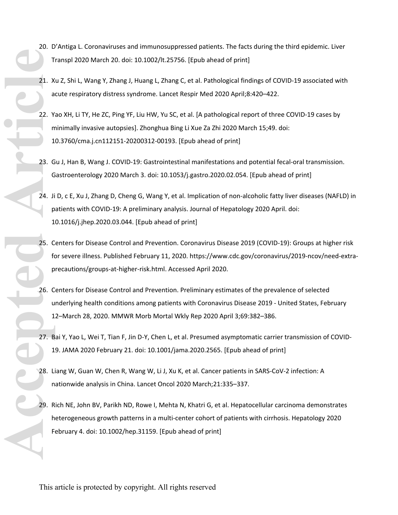- 20. D'Antiga L. Coronaviruses and immunosuppressed patients. The facts during the third epidemic. Liver Transpl 2020 March 20. doi: 10.1002/lt.25756. [Epub ahead of print]
- 21. Xu Z, Shi L, Wang Y, Zhang J, Huang L, Zhang C, et al. Pathological findings of COVID-19 associated with acute respiratory distress syndrome. Lancet Respir Med 2020 April;8:420–422.
- 22. Yao XH, Li TY, He ZC, Ping YF, Liu HW, Yu SC, et al. [A pathological report of three COVID-19 cases by minimally invasive autopsies]. Zhonghua Bing Li Xue Za Zhi 2020 March 15;49. doi: 10.3760/cma.j.cn112151-20200312-00193. [Epub ahead of print] **Accepted Articles** 22. A<br> **Accepted Articles** 22. A<br>
22. A<br>
24. Ji P<br>
24. Ji P<br>
24. Ji P<br>
25. C<br>
42. Ji P<br>
25. C<br>
42. Ji P<br>
25. C<br>
42. Ji P<br>
25. C<br>
42. Ji P<br>
28. L<br>
28. H<br>
28. H<br>
28. H<br>
28. H<br>
28. H<br>
28. H<br>
29. R
	- 23. Gu J, Han B, Wang J. COVID-19: Gastrointestinal manifestations and potential fecal-oral transmission. Gastroenterology 2020 March 3. doi: 10.1053/j.gastro.2020.02.054. [Epub ahead of print]
	- 24. Ji D, c E, Xu J, Zhang D, Cheng G, Wang Y, et al. Implication of non-alcoholic fatty liver diseases (NAFLD) in patients with COVID-19: A preliminary analysis. Journal of Hepatology 2020 April. doi: 10.1016/j.jhep.2020.03.044. [Epub ahead of print]
	- 25. Centers for Disease Control and Prevention. Coronavirus Disease 2019 (COVID-19): Groups at higher risk for severe illness. Published February 11, 2020. https://www.cdc.gov/coronavirus/2019-ncov/need-extraprecautions/groups-at-higher-risk.html. Accessed April 2020.
	- 26. Centers for Disease Control and Prevention. Preliminary estimates of the prevalence of selected underlying health conditions among patients with Coronavirus Disease 2019 - United States, February 12–March 28, 2020. MMWR Morb Mortal Wkly Rep 2020 April 3;69:382–386.
	- 27. Bai Y, Yao L, Wei T, Tian F, Jin D-Y, Chen L, et al. Presumed asymptomatic carrier transmission of COVID-19. JAMA 2020 February 21. doi: 10.1001/jama.2020.2565. [Epub ahead of print]
	- 28. Liang W, Guan W, Chen R, Wang W, Li J, Xu K, et al. Cancer patients in SARS-CoV-2 infection: A nationwide analysis in China. Lancet Oncol 2020 March;21:335–337.
	- 29. Rich NE, John BV, Parikh ND, Rowe I, Mehta N, Khatri G, et al. Hepatocellular carcinoma demonstrates heterogeneous growth patterns in a multi-center cohort of patients with cirrhosis. Hepatology 2020 February 4. doi: 10.1002/hep.31159. [Epub ahead of print]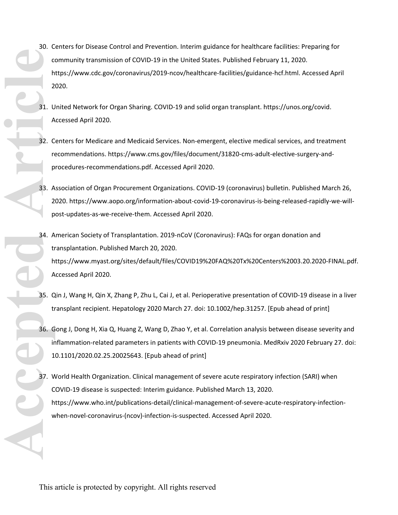- 30. Centers for Disease Control and Prevention. Interim guidance for healthcare facilities: Preparing for community transmission of COVID-19 in the United States. Published February 11, 2020. https://www.cdc.gov/coronavirus/2019-ncov/healthcare-facilities/guidance-hcf.html. Accessed April 2020.
- 31. United Network for Organ Sharing. COVID-19 and solid organ transplant. https://unos.org/covid. Accessed April 2020.
- 32. Centers for Medicare and Medicaid Services. Non-emergent, elective medical services, and treatment recommendations. https://www.cms.gov/files/document/31820-cms-adult-elective-surgery-andprocedures-recommendations.pdf. Accessed April 2020.
- 33. Association of Organ Procurement Organizations. COVID-19 (coronavirus) bulletin. Published March 26, 2020. https://www.aopo.org/information-about-covid-19-coronavirus-is-being-released-rapidly-we-willpost-updates-as-we-receive-them. Accessed April 2020.
- 34. American Society of Transplantation. 2019-nCoV (Coronavirus): FAQs for organ donation and transplantation. Published March 20, 2020. https://www.myast.org/sites/default/files/COVID19%20FAQ%20Tx%20Centers%2003.20.2020-FINAL.pdf. Accessed April 2020. **Accepted Articles** Articles Articles Articles Articles Articles Articles Articles Articles Articles Articles Articles Articles Articles Articles Articles Articles Articles Articles Articles Articles Articles Articles Arti
	- 35. Qin J, Wang H, Qin X, Zhang P, Zhu L, Cai J, et al. Perioperative presentation of COVID-19 disease in a liver transplant recipient. Hepatology 2020 March 27. doi: 10.1002/hep.31257. [Epub ahead of print]
	- 36. Gong J, Dong H, Xia Q, Huang Z, Wang D, Zhao Y, et al. Correlation analysis between disease severity and inflammation-related parameters in patients with COVID-19 pneumonia. MedRxiv 2020 February 27. doi: 10.1101/2020.02.25.20025643. [Epub ahead of print]
	- 37. World Health Organization. Clinical management of severe acute respiratory infection (SARI) when COVID-19 disease is suspected: Interim guidance. Published March 13, 2020. https://www.who.int/publications-detail/clinical-management-of-severe-acute-respiratory-infectionwhen-novel-coronavirus-(ncov)-infection-is-suspected. Accessed April 2020.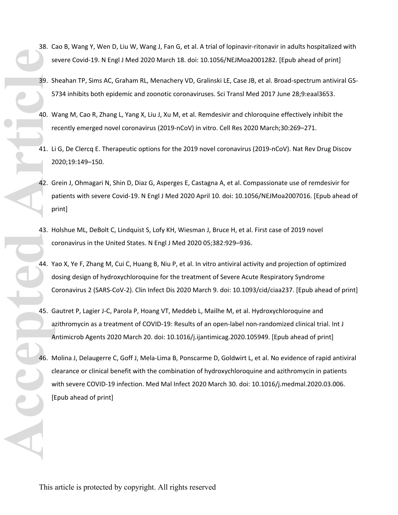- 38. Cao B, Wang Y, Wen D, Liu W, Wang J, Fan G, et al. A trial of lopinavir-ritonavir in adults hospitalized with severe Covid-19. N Engl J Med 2020 March 18. doi: 10.1056/NEJMoa2001282. [Epub ahead of print]
- 39. Sheahan TP, Sims AC, Graham RL, Menachery VD, Gralinski LE, Case JB, et al. Broad-spectrum antiviral GS-5734 inhibits both epidemic and zoonotic coronaviruses. Sci Transl Med 2017 June 28;9:eaal3653.
- 40. Wang M, Cao R, Zhang L, Yang X, Liu J, Xu M, et al. Remdesivir and chloroquine effectively inhibit the recently emerged novel coronavirus (2019-nCoV) in vitro. Cell Res 2020 March;30:269–271.
- 41. Li G, De Clercq E. Therapeutic options for the 2019 novel coronavirus (2019-nCoV). Nat Rev Drug Discov 2020;19:149–150.
- 42. Grein J, Ohmagari N, Shin D, Diaz G, Asperges E, Castagna A, et al. Compassionate use of remdesivir for patients with severe Covid-19. N Engl J Med 2020 April 10. doi: 10.1056/NEJMoa2007016. [Epub ahead of print]
- 43. Holshue ML, DeBolt C, Lindquist S, Lofy KH, Wiesman J, Bruce H, et al. First case of 2019 novel coronavirus in the United States. N Engl J Med 2020 05;382:929–936.
- 44. Yao X, Ye F, Zhang M, Cui C, Huang B, Niu P, et al. In vitro antiviral activity and projection of optimized dosing design of hydroxychloroquine for the treatment of Severe Acute Respiratory Syndrome Coronavirus 2 (SARS-CoV-2). Clin Infect Dis 2020 March 9. doi: 10.1093/cid/ciaa237. [Epub ahead of print]
- 45. Gautret P, Lagier J-C, Parola P, Hoang VT, Meddeb L, Mailhe M, et al. Hydroxychloroquine and azithromycin as a treatment of COVID-19: Results of an open-label non-randomized clinical trial. Int J Antimicrob Agents 2020 March 20. doi: 10.1016/j.ijantimicag.2020.105949. [Epub ahead of print]
- 46. Molina J, Delaugerre C, Goff J, Mela-Lima B, Ponscarme D, Goldwirt L, et al. No evidence of rapid antiviral clearance or clinical benefit with the combination of hydroxychloroquine and azithromycin in patients with severe COVID-19 infection. Med Mal Infect 2020 March 30. doi: 10.1016/j.medmal.2020.03.006. [Epub ahead of print] **Accepted Articles** Contact Articles Contact Articles Contact Articles Contact Articles Contact Articles Contact Articles Contact Articles Contact Articles Contact Articles Contact Articles Contact Articles Contact Article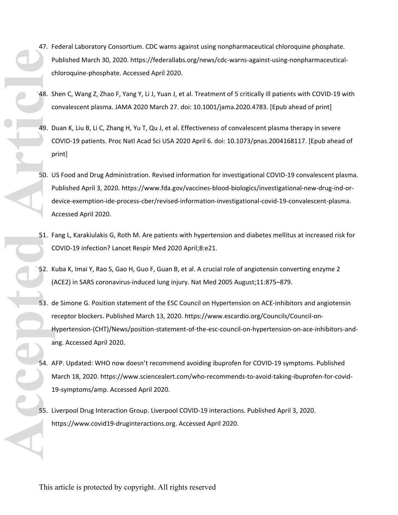- 47. Federal Laboratory Consortium. CDC warns against using nonpharmaceutical chloroquine phosphate. Published March 30, 2020. https://federallabs.org/news/cdc-warns-against-using-nonpharmaceuticalchloroquine-phosphate. Accessed April 2020.
- 48. Shen C, Wang Z, Zhao F, Yang Y, Li J, Yuan J, et al. Treatment of 5 critically ill patients with COVID-19 with convalescent plasma. JAMA 2020 March 27. doi: 10.1001/jama.2020.4783. [Epub ahead of print]
- 49. Duan K, Liu B, Li C, Zhang H, Yu T, Qu J, et al. Effectiveness of convalescent plasma therapy in severe COVID-19 patients. Proc Natl Acad Sci USA 2020 April 6. doi: 10.1073/pnas.2004168117. [Epub ahead of print]
- 50. US Food and Drug Administration. Revised information for investigational COVID-19 convalescent plasma. Published April 3, 2020. https://www.fda.gov/vaccines-blood-biologics/investigational-new-drug-ind-ordevice-exemption-ide-process-cber/revised-information-investigational-covid-19-convalescent-plasma. Accessed April 2020.
- 51. Fang L, Karakiulakis G, Roth M. Are patients with hypertension and diabetes mellitus at increased risk for COVID-19 infection? Lancet Respir Med 2020 April;8:e21.
- 52. Kuba K, Imai Y, Rao S, Gao H, Guo F, Guan B, et al. A crucial role of angiotensin converting enzyme 2 (ACE2) in SARS coronavirus-induced lung injury. Nat Med 2005 August;11:875–879.
- 53. de Simone G. Position statement of the ESC Council on Hypertension on ACE-inhibitors and angiotensin receptor blockers. Published March 13, 2020. https://www.escardio.org/Councils/Council-on-Hypertension-(CHT)/News/position-statement-of-the-esc-council-on-hypertension-on-ace-inhibitors-andang. Accessed April 2020. **ARCEPT ARTICLES ARTICLES ARTICLES ARTICLES ARTICLES ARTICLES ARTICLES ARTICLES ARTICLES ARTICLES ARTICLES ARTICLES ARTICLES ARTICLES ARTICLES ARTICLES ARTICLES ARTICLES ARTICLES ARTICLES ARTICLES ARTICLES ARTICLES ARTICLE** 
	- 54. AFP. Updated: WHO now doesn't recommend avoiding ibuprofen for COVID-19 symptoms. Published March 18, 2020. https://www.sciencealert.com/who-recommends-to-avoid-taking-ibuprofen-for-covid-19-symptoms/amp. Accessed April 2020.
	- 55. Liverpool Drug Interaction Group. Liverpool COVID-19 interactions. Published April 3, 2020. https://www.covid19-druginteractions.org. Accessed April 2020.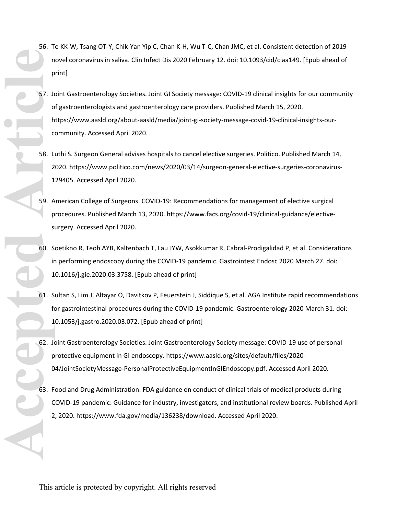- 56. To KK-W, Tsang OT-Y, Chik-Yan Yip C, Chan K-H, Wu T-C, Chan JMC, et al. Consistent detection of 2019 novel coronavirus in saliva. Clin Infect Dis 2020 February 12. doi: 10.1093/cid/ciaa149. [Epub ahead of print]
- 57. Joint Gastroenterology Societies. Joint GI Society message: COVID-19 clinical insights for our community of gastroenterologists and gastroenterology care providers. Published March 15, 2020. https://www.aasld.org/about-aasld/media/joint-gi-society-message-covid-19-clinical-insights-ourcommunity. Accessed April 2020. **Accepted Articles** Articles Articles Articles Articles Articles Articles Articles Articles Articles Articles Articles Articles Articles Articles Articles Articles Articles Articles Articles Articles Articles Articles Arti
	- 58. Luthi S. Surgeon General advises hospitals to cancel elective surgeries. Politico. Published March 14, 2020. https://www.politico.com/news/2020/03/14/surgeon-general-elective-surgeries-coronavirus-129405. Accessed April 2020.
	- 59. American College of Surgeons. COVID-19: Recommendations for management of elective surgical procedures. Published March 13, 2020. https://www.facs.org/covid-19/clinical-guidance/electivesurgery. Accessed April 2020.
	- 60. Soetikno R, Teoh AYB, Kaltenbach T, Lau JYW, Asokkumar R, Cabral-Prodigalidad P, et al. Considerations in performing endoscopy during the COVID-19 pandemic. Gastrointest Endosc 2020 March 27. doi: 10.1016/j.gie.2020.03.3758. [Epub ahead of print]
	- 61. Sultan S, Lim J, Altayar O, Davitkov P, Feuerstein J, Siddique S, et al. AGA Institute rapid recommendations for gastrointestinal procedures during the COVID-19 pandemic. Gastroenterology 2020 March 31. doi: 10.1053/j.gastro.2020.03.072. [Epub ahead of print]
	- 62. Joint Gastroenterology Societies. Joint Gastroenterology Society message: COVID-19 use of personal protective equipment in GI endoscopy. https://www.aasld.org/sites/default/files/2020- 04/JointSocietyMessage-PersonalProtectiveEquipmentInGIEndoscopy.pdf. Accessed April 2020.
	- 63. Food and Drug Administration. FDA guidance on conduct of clinical trials of medical products during COVID-19 pandemic: Guidance for industry, investigators, and institutional review boards. Published April 2, 2020. https://www.fda.gov/media/136238/download. Accessed April 2020.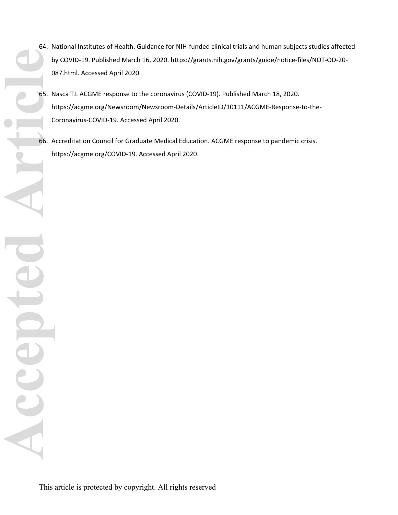- 64. National Institutes of Health. Guidance for NIH-funded clinical trials and human subjects studies affected by COVID-19. Published March 16, 2020. https://grants.nih.gov/grants/guide/notice-files/NOT-OD-20- 087.html. Accessed April 2020.
- 65. Nasca TJ. ACGME response to the coronavirus (COVID-19). Published March 18, 2020. https://acgme.org/Newsroom/Newsroom-Details/ArticleID/10111/ACGME-Response-to-the-Coronavirus-COVID-19. Accessed April 2020. Accepted Article

66. Accreditation Council for Graduate Medical Education. ACGME response to pandemic crisis. https://acgme.org/COVID-19. Accessed April 2020.

CO

CCCED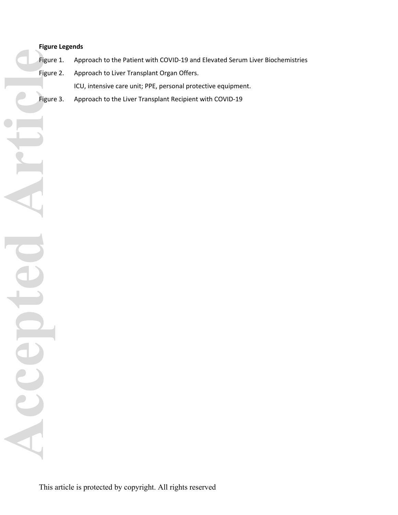# **Figure Legends**

Figure 1. Approach to the Patient with COVID-19 and Elevated Serum Liver Biochemistries

Figure 2. Approach to Liver Transplant Organ Offers.

ICU, intensive care unit; PPE, personal protective equipment.

Figure 3. Approach to the Liver Transplant Recipient with COVID-19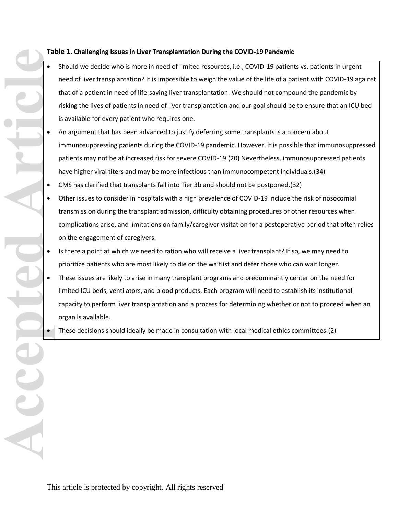# **Table 1. Challenging Issues in Liver Transplantation During the COVID-19 Pandemic**

- Should we decide who is more in need of limited resources, i.e., COVID-19 patients vs. patients in urgent need of liver transplantation? It is impossible to weigh the value of the life of a patient with COVID-19 against that of a patient in need of life-saving liver transplantation. We should not compound the pandemic by risking the lives of patients in need of liver transplantation and our goal should be to ensure that an ICU bed is available for every patient who requires one. **Accepted Article**
	- An argument that has been advanced to justify deferring some transplants is a concern about immunosuppressing patients during the COVID-19 pandemic. However, it is possible that immunosuppressed patients may not be at increased risk for severe COVID-19.(20) Nevertheless, immunosuppressed patients have higher viral titers and may be more infectious than immunocompetent individuals.(34)
	- CMS has clarified that transplants fall into [Tier 3b](https://www.cms.gov/files/document/31820-cms-adult-elective-surgery-and-procedures-recommendations.pdf) and should not be postponed.(32)
	- Other issues to consider in hospitals with a high prevalence of COVID-19 include the risk of nosocomial transmission during the transplant admission, difficulty obtaining procedures or other resources when complications arise, and limitations on family/caregiver visitation for a postoperative period that often relies on the engagement of caregivers.
	- Is there a point at which we need to ration who will receive a liver transplant? If so, we may need to prioritize patients who are most likely to die on the waitlist and defer those who can wait longer.
	- These issues are likely to arise in many transplant programs and predominantly center on the need for limited ICU beds, ventilators, and blood products. Each program will need to establish its institutional capacity to perform liver transplantation and a process for determining whether or not to proceed when an organ is available.
		- These decisions should ideally be made in consultation with local medical ethics committees.(2)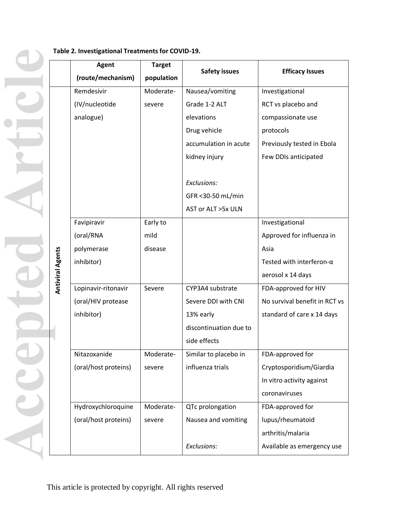|                         | Agent                | <b>Target</b> | <b>Safety issues</b>   | <b>Efficacy Issues</b>           |  |
|-------------------------|----------------------|---------------|------------------------|----------------------------------|--|
|                         | (route/mechanism)    | population    |                        |                                  |  |
|                         | Remdesivir           | Moderate-     | Nausea/vomiting        | Investigational                  |  |
|                         | (IV/nucleotide       | severe        | Grade 1-2 ALT          | RCT vs placebo and               |  |
|                         | analogue)            |               | elevations             | compassionate use                |  |
|                         |                      |               | Drug vehicle           | protocols                        |  |
|                         |                      |               | accumulation in acute  | Previously tested in Ebola       |  |
|                         |                      |               | kidney injury          | Few DDIs anticipated             |  |
|                         |                      |               |                        |                                  |  |
|                         |                      |               | Exclusions:            |                                  |  |
|                         |                      |               | GFR < 30-50 mL/min     |                                  |  |
|                         |                      |               | AST or ALT >5x ULN     |                                  |  |
|                         | Favipiravir          | Early to      |                        | Investigational                  |  |
|                         | (oral/RNA            | mild          |                        | Approved for influenza in        |  |
|                         | polymerase           | disease       |                        | Asia                             |  |
|                         | inhibitor)           |               |                        | Tested with interferon- $\alpha$ |  |
| <b>Antiviral Agents</b> |                      |               |                        | aerosol x 14 days                |  |
|                         | Lopinavir-ritonavir  | Severe        | CYP3A4 substrate       | FDA-approved for HIV             |  |
|                         | (oral/HIV protease   |               | Severe DDI with CNI    | No survival benefit in RCT vs    |  |
|                         | inhibitor)           |               | 13% early              | standard of care x 14 days       |  |
|                         |                      |               | discontinuation due to |                                  |  |
|                         |                      |               | side effects           |                                  |  |
|                         | Nitazoxanide         | Moderate-     | Similar to placebo in  | FDA-approved for                 |  |
|                         | (oral/host proteins) | severe        | influenza trials       | Cryptosporidium/Giardia          |  |
|                         |                      |               |                        | In vitro activity against        |  |
|                         |                      |               |                        | coronaviruses                    |  |
|                         | Hydroxychloroquine   | Moderate-     | QTc prolongation       | FDA-approved for                 |  |
|                         | (oral/host proteins) | severe        | Nausea and vomiting    | lupus/rheumatoid                 |  |
|                         |                      |               |                        | arthritis/malaria                |  |
|                         |                      |               | Exclusions:            | Available as emergency use       |  |

# **Table 2. Investigational Treatments for COVID-19. Accepted Article**

CC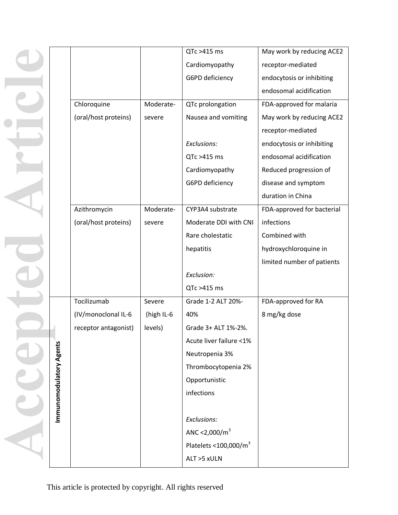|                         |                      |            | QTc >415 ms              | May work by reducing ACE2  |
|-------------------------|----------------------|------------|--------------------------|----------------------------|
|                         |                      |            | Cardiomyopathy           | receptor-mediated          |
|                         |                      |            | G6PD deficiency          | endocytosis or inhibiting  |
|                         |                      |            |                          | endosomal acidification    |
|                         | Chloroquine          | Moderate-  | QTc prolongation         | FDA-approved for malaria   |
|                         | (oral/host proteins) | severe     | Nausea and vomiting      | May work by reducing ACE2  |
|                         |                      |            |                          | receptor-mediated          |
|                         |                      |            | Exclusions:              | endocytosis or inhibiting  |
|                         |                      |            | QTc >415 ms              | endosomal acidification    |
|                         |                      |            | Cardiomyopathy           | Reduced progression of     |
|                         |                      |            | G6PD deficiency          | disease and symptom        |
|                         |                      |            |                          | duration in China          |
|                         | Azithromycin         | Moderate-  | CYP3A4 substrate         | FDA-approved for bacterial |
|                         | (oral/host proteins) | severe     | Moderate DDI with CNI    | infections                 |
|                         |                      |            | Rare cholestatic         | Combined with              |
|                         |                      |            | hepatitis                | hydroxychloroquine in      |
|                         |                      |            |                          | limited number of patients |
|                         |                      |            | Exclusion:               |                            |
|                         |                      |            | QTc >415 ms              |                            |
|                         | Tocilizumab          | Severe     | Grade 1-2 ALT 20%-       | FDA-approved for RA        |
|                         | (IV/monoclonal IL-6  | (high IL-6 | 40%                      | 8 mg/kg dose               |
|                         | receptor antagonist) | levels)    | Grade 3+ ALT 1%-2%.      |                            |
|                         |                      |            | Acute liver failure <1%  |                            |
|                         |                      |            | Neutropenia 3%           |                            |
|                         |                      |            | Thrombocytopenia 2%      |                            |
|                         |                      |            | Opportunistic            |                            |
| Immunomodulatory Agents |                      |            | infections               |                            |
|                         |                      |            |                          |                            |
|                         |                      |            | Exclusions:              |                            |
|                         |                      |            | ANC <2,000/ $m^3$        |                            |
|                         |                      |            | Platelets < $100,000/m3$ |                            |
|                         |                      |            | ALT >5 xULN              |                            |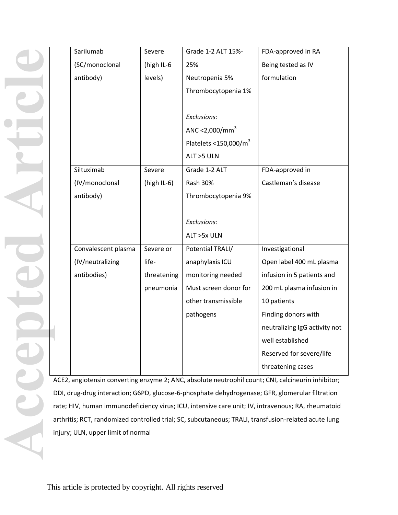| Sarilumab           | Severe         | Grade 1-2 ALT 15%-         | FDA-approved in RA            |
|---------------------|----------------|----------------------------|-------------------------------|
| (SC/monoclonal      | (high IL-6     | 25%                        | Being tested as IV            |
| antibody)           | levels)        | Neutropenia 5%             | formulation                   |
|                     |                | Thrombocytopenia 1%        |                               |
|                     |                |                            |                               |
|                     |                | Exclusions:                |                               |
|                     |                | ANC <2,000/mm <sup>3</sup> |                               |
|                     |                | Platelets <150,000/ $m3$   |                               |
|                     |                | ALT >5 ULN                 |                               |
| Siltuximab          | Severe         | Grade 1-2 ALT              | FDA-approved in               |
| (IV/monoclonal      | (high $IL-6$ ) | <b>Rash 30%</b>            | Castleman's disease           |
| antibody)           |                | Thrombocytopenia 9%        |                               |
|                     |                |                            |                               |
|                     |                | Exclusions:                |                               |
|                     |                | ALT >5x ULN                |                               |
| Convalescent plasma | Severe or      | Potential TRALI/           | Investigational               |
| (IV/neutralizing    | life-          | anaphylaxis ICU            | Open label 400 mL plasma      |
| antibodies)         | threatening    | monitoring needed          | infusion in 5 patients and    |
|                     | pneumonia      | Must screen donor for      | 200 mL plasma infusion in     |
|                     |                | other transmissible        | 10 patients                   |
|                     |                | pathogens                  | Finding donors with           |
|                     |                |                            | neutralizing IgG activity not |
|                     |                |                            | well established              |
|                     |                |                            | Reserved for severe/life      |
|                     |                |                            | threatening cases             |

ACE2, angiotensin converting enzyme 2; ANC, absolute neutrophil count; CNI, calcineurin inhibitor; DDI, drug-drug interaction; G6PD, glucose-6-phosphate dehydrogenase; GFR, glomerular filtration rate; HIV, human immunodeficiency virus; ICU, intensive care unit; IV, intravenous; RA, rheumatoid arthritis; RCT, randomized controlled trial; SC, subcutaneous; TRALI, transfusion-related acute lung injury; ULN, upper limit of normal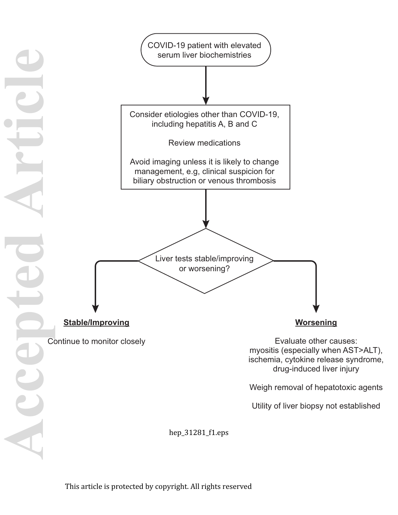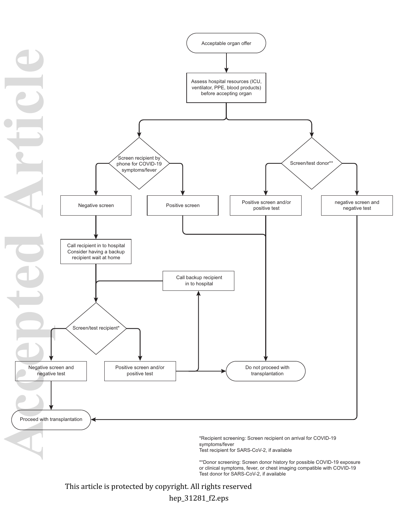

This article is protected by copyright. All rights reserved

hep\_31281\_f2.eps